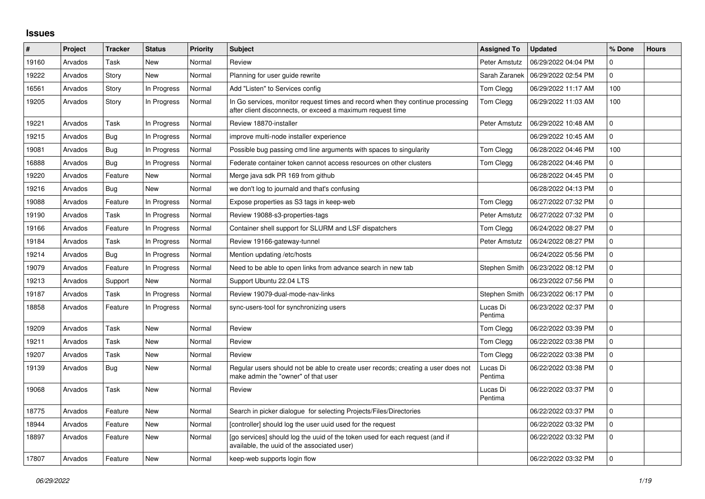## **Issues**

| #     | Project | <b>Tracker</b> | <b>Status</b> | <b>Priority</b> | <b>Subject</b>                                                                                                                               | <b>Assigned To</b>  | <b>Updated</b>      | % Done      | <b>Hours</b> |
|-------|---------|----------------|---------------|-----------------|----------------------------------------------------------------------------------------------------------------------------------------------|---------------------|---------------------|-------------|--------------|
| 19160 | Arvados | Task           | <b>New</b>    | Normal          | Review                                                                                                                                       | Peter Amstutz       | 06/29/2022 04:04 PM | 0           |              |
| 19222 | Arvados | Story          | New           | Normal          | Planning for user guide rewrite                                                                                                              | Sarah Zaranek       | 06/29/2022 02:54 PM | $\Omega$    |              |
| 16561 | Arvados | Story          | In Progress   | Normal          | Add "Listen" to Services config                                                                                                              | Tom Clegg           | 06/29/2022 11:17 AM | 100         |              |
| 19205 | Arvados | Story          | In Progress   | Normal          | In Go services, monitor request times and record when they continue processing<br>after client disconnects, or exceed a maximum request time | Tom Clegg           | 06/29/2022 11:03 AM | 100         |              |
| 19221 | Arvados | Task           | In Progress   | Normal          | Review 18870-installer                                                                                                                       | Peter Amstutz       | 06/29/2022 10:48 AM | $\Omega$    |              |
| 19215 | Arvados | <b>Bug</b>     | In Progress   | Normal          | improve multi-node installer experience                                                                                                      |                     | 06/29/2022 10:45 AM | $\Omega$    |              |
| 19081 | Arvados | Bug            | In Progress   | Normal          | Possible bug passing cmd line arguments with spaces to singularity                                                                           | Tom Clegg           | 06/28/2022 04:46 PM | 100         |              |
| 16888 | Arvados | <b>Bug</b>     | In Progress   | Normal          | Federate container token cannot access resources on other clusters                                                                           | Tom Clegg           | 06/28/2022 04:46 PM | $\Omega$    |              |
| 19220 | Arvados | Feature        | New           | Normal          | Merge java sdk PR 169 from github                                                                                                            |                     | 06/28/2022 04:45 PM | $\Omega$    |              |
| 19216 | Arvados | <b>Bug</b>     | New           | Normal          | we don't log to journald and that's confusing                                                                                                |                     | 06/28/2022 04:13 PM | $\Omega$    |              |
| 19088 | Arvados | Feature        | In Progress   | Normal          | Expose properties as S3 tags in keep-web                                                                                                     | Tom Clegg           | 06/27/2022 07:32 PM | $\Omega$    |              |
| 19190 | Arvados | Task           | In Progress   | Normal          | Review 19088-s3-properties-tags                                                                                                              | Peter Amstutz       | 06/27/2022 07:32 PM | $\Omega$    |              |
| 19166 | Arvados | Feature        | In Progress   | Normal          | Container shell support for SLURM and LSF dispatchers                                                                                        | Tom Clegg           | 06/24/2022 08:27 PM | $\Omega$    |              |
| 19184 | Arvados | Task           | In Progress   | Normal          | Review 19166-gateway-tunnel                                                                                                                  | Peter Amstutz       | 06/24/2022 08:27 PM | $\Omega$    |              |
| 19214 | Arvados | Bug            | In Progress   | Normal          | Mention updating /etc/hosts                                                                                                                  |                     | 06/24/2022 05:56 PM | $\Omega$    |              |
| 19079 | Arvados | Feature        | In Progress   | Normal          | Need to be able to open links from advance search in new tab                                                                                 | Stephen Smith       | 06/23/2022 08:12 PM | $\Omega$    |              |
| 19213 | Arvados | Support        | <b>New</b>    | Normal          | Support Ubuntu 22.04 LTS                                                                                                                     |                     | 06/23/2022 07:56 PM | $\Omega$    |              |
| 19187 | Arvados | Task           | In Progress   | Normal          | Review 19079-dual-mode-nav-links                                                                                                             | Stephen Smith       | 06/23/2022 06:17 PM | $\mathbf 0$ |              |
| 18858 | Arvados | Feature        | In Progress   | Normal          | sync-users-tool for synchronizing users                                                                                                      | Lucas Di<br>Pentima | 06/23/2022 02:37 PM | $\Omega$    |              |
| 19209 | Arvados | Task           | <b>New</b>    | Normal          | Review                                                                                                                                       | Tom Clegg           | 06/22/2022 03:39 PM | $\Omega$    |              |
| 19211 | Arvados | Task           | New           | Normal          | Review                                                                                                                                       | Tom Clegg           | 06/22/2022 03:38 PM | $\Omega$    |              |
| 19207 | Arvados | Task           | <b>New</b>    | Normal          | Review                                                                                                                                       | Tom Clegg           | 06/22/2022 03:38 PM | $\Omega$    |              |
| 19139 | Arvados | <b>Bug</b>     | <b>New</b>    | Normal          | Regular users should not be able to create user records; creating a user does not<br>make admin the "owner" of that user                     | Lucas Di<br>Pentima | 06/22/2022 03:38 PM | $\Omega$    |              |
| 19068 | Arvados | Task           | New           | Normal          | Review                                                                                                                                       | Lucas Di<br>Pentima | 06/22/2022 03:37 PM | $\Omega$    |              |
| 18775 | Arvados | Feature        | <b>New</b>    | Normal          | Search in picker dialogue for selecting Projects/Files/Directories                                                                           |                     | 06/22/2022 03:37 PM | $\Omega$    |              |
| 18944 | Arvados | Feature        | <b>New</b>    | Normal          | [controller] should log the user uuid used for the request                                                                                   |                     | 06/22/2022 03:32 PM | $\Omega$    |              |
| 18897 | Arvados | Feature        | New           | Normal          | [go services] should log the uuid of the token used for each request (and if<br>available, the uuid of the associated user)                  |                     | 06/22/2022 03:32 PM | $\Omega$    |              |
| 17807 | Arvados | Feature        | New           | Normal          | keep-web supports login flow                                                                                                                 |                     | 06/22/2022 03:32 PM | $\Omega$    |              |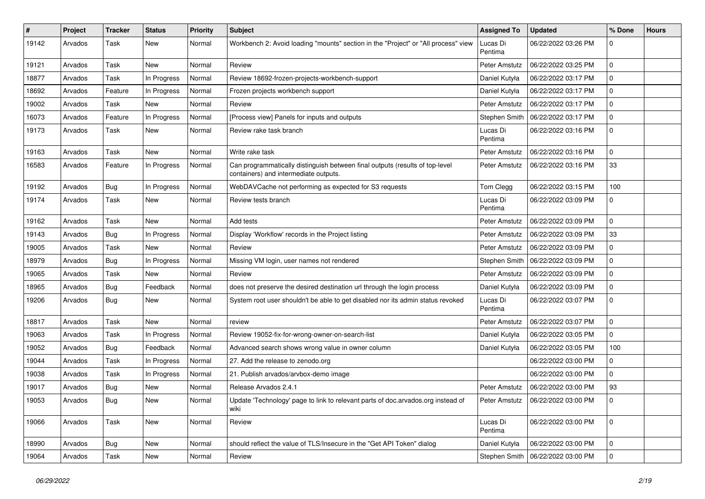| ∦     | Project | <b>Tracker</b> | <b>Status</b> | <b>Priority</b> | Subject                                                                                                               | <b>Assigned To</b>  | <b>Updated</b>      | % Done      | <b>Hours</b> |
|-------|---------|----------------|---------------|-----------------|-----------------------------------------------------------------------------------------------------------------------|---------------------|---------------------|-------------|--------------|
| 19142 | Arvados | Task           | <b>New</b>    | Normal          | Workbench 2: Avoid loading "mounts" section in the "Project" or "All process" view                                    | Lucas Di<br>Pentima | 06/22/2022 03:26 PM | 0           |              |
| 19121 | Arvados | Task           | <b>New</b>    | Normal          | Review                                                                                                                | Peter Amstutz       | 06/22/2022 03:25 PM | $\mathbf 0$ |              |
| 18877 | Arvados | Task           | In Progress   | Normal          | Review 18692-frozen-projects-workbench-support                                                                        | Daniel Kutyła       | 06/22/2022 03:17 PM | $\mathbf 0$ |              |
| 18692 | Arvados | Feature        | In Progress   | Normal          | Frozen projects workbench support                                                                                     | Daniel Kutyła       | 06/22/2022 03:17 PM | $\mathbf 0$ |              |
| 19002 | Arvados | Task           | New           | Normal          | Review                                                                                                                | Peter Amstutz       | 06/22/2022 03:17 PM | $\mathbf 0$ |              |
| 16073 | Arvados | Feature        | In Progress   | Normal          | [Process view] Panels for inputs and outputs                                                                          | Stephen Smith       | 06/22/2022 03:17 PM | $\mathbf 0$ |              |
| 19173 | Arvados | Task           | New           | Normal          | Review rake task branch                                                                                               | Lucas Di<br>Pentima | 06/22/2022 03:16 PM | $\mathbf 0$ |              |
| 19163 | Arvados | Task           | <b>New</b>    | Normal          | Write rake task                                                                                                       | Peter Amstutz       | 06/22/2022 03:16 PM | $\mathbf 0$ |              |
| 16583 | Arvados | Feature        | In Progress   | Normal          | Can programmatically distinguish between final outputs (results of top-level<br>containers) and intermediate outputs. | Peter Amstutz       | 06/22/2022 03:16 PM | 33          |              |
| 19192 | Arvados | Bug            | In Progress   | Normal          | WebDAVCache not performing as expected for S3 requests                                                                | Tom Clegg           | 06/22/2022 03:15 PM | 100         |              |
| 19174 | Arvados | Task           | New           | Normal          | Review tests branch                                                                                                   | Lucas Di<br>Pentima | 06/22/2022 03:09 PM | $\mathbf 0$ |              |
| 19162 | Arvados | Task           | New           | Normal          | Add tests                                                                                                             | Peter Amstutz       | 06/22/2022 03:09 PM | $\mathbf 0$ |              |
| 19143 | Arvados | Bug            | In Progress   | Normal          | Display 'Workflow' records in the Project listing                                                                     | Peter Amstutz       | 06/22/2022 03:09 PM | 33          |              |
| 19005 | Arvados | Task           | <b>New</b>    | Normal          | Review                                                                                                                | Peter Amstutz       | 06/22/2022 03:09 PM | $\mathbf 0$ |              |
| 18979 | Arvados | Bug            | In Progress   | Normal          | Missing VM login, user names not rendered                                                                             | Stephen Smith       | 06/22/2022 03:09 PM | $\mathbf 0$ |              |
| 19065 | Arvados | Task           | <b>New</b>    | Normal          | Review                                                                                                                | Peter Amstutz       | 06/22/2022 03:09 PM | $\mathbf 0$ |              |
| 18965 | Arvados | <b>Bug</b>     | Feedback      | Normal          | does not preserve the desired destination url through the login process                                               | Daniel Kutyła       | 06/22/2022 03:09 PM | $\mathbf 0$ |              |
| 19206 | Arvados | Bug            | New           | Normal          | System root user shouldn't be able to get disabled nor its admin status revoked                                       | Lucas Di<br>Pentima | 06/22/2022 03:07 PM | $\mathbf 0$ |              |
| 18817 | Arvados | Task           | <b>New</b>    | Normal          | review                                                                                                                | Peter Amstutz       | 06/22/2022 03:07 PM | $\mathbf 0$ |              |
| 19063 | Arvados | <b>Task</b>    | In Progress   | Normal          | Review 19052-fix-for-wrong-owner-on-search-list                                                                       | Daniel Kutyła       | 06/22/2022 03:05 PM | $\mathbf 0$ |              |
| 19052 | Arvados | Bug            | Feedback      | Normal          | Advanced search shows wrong value in owner column                                                                     | Daniel Kutyła       | 06/22/2022 03:05 PM | 100         |              |
| 19044 | Arvados | Task           | In Progress   | Normal          | 27. Add the release to zenodo.org                                                                                     |                     | 06/22/2022 03:00 PM | $\mathbf 0$ |              |
| 19038 | Arvados | Task           | In Progress   | Normal          | 21. Publish arvados/arvbox-demo image                                                                                 |                     | 06/22/2022 03:00 PM | $\mathbf 0$ |              |
| 19017 | Arvados | <b>Bug</b>     | <b>New</b>    | Normal          | Release Arvados 2.4.1                                                                                                 | Peter Amstutz       | 06/22/2022 03:00 PM | 93          |              |
| 19053 | Arvados | <b>Bug</b>     | New           | Normal          | Update 'Technology' page to link to relevant parts of doc.arvados.org instead of<br>wiki                              | Peter Amstutz       | 06/22/2022 03:00 PM |             |              |
| 19066 | Arvados | Task           | New           | Normal          | Review                                                                                                                | Lucas Di<br>Pentima | 06/22/2022 03:00 PM | 0           |              |
| 18990 | Arvados | <b>Bug</b>     | <b>New</b>    | Normal          | should reflect the value of TLS/Insecure in the "Get API Token" dialog                                                | Daniel Kutyła       | 06/22/2022 03:00 PM | $\mathbf 0$ |              |
| 19064 | Arvados | Task           | New           | Normal          | Review                                                                                                                | Stephen Smith       | 06/22/2022 03:00 PM | $\mathbf 0$ |              |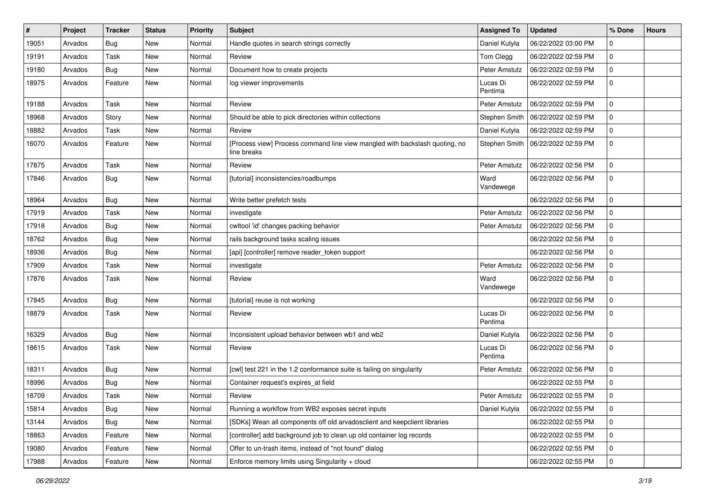| #     | <b>Project</b> | <b>Tracker</b> | <b>Status</b> | <b>Priority</b> | Subject                                                                                    | <b>Assigned To</b>  | <b>Updated</b>      | % Done      | <b>Hours</b> |
|-------|----------------|----------------|---------------|-----------------|--------------------------------------------------------------------------------------------|---------------------|---------------------|-------------|--------------|
| 19051 | Arvados        | Bug            | New           | Normal          | Handle quotes in search strings correctly                                                  | Daniel Kutyła       | 06/22/2022 03:00 PM | $\mathbf 0$ |              |
| 19191 | Arvados        | Task           | New           | Normal          | Review                                                                                     | Tom Clegg           | 06/22/2022 02:59 PM | $\mathbf 0$ |              |
| 19180 | Arvados        | <b>Bug</b>     | New           | Normal          | Document how to create projects                                                            | Peter Amstutz       | 06/22/2022 02:59 PM | $\mathbf 0$ |              |
| 18975 | Arvados        | Feature        | New           | Normal          | log viewer improvements                                                                    | Lucas Di<br>Pentima | 06/22/2022 02:59 PM | $\mathbf 0$ |              |
| 19188 | Arvados        | Task           | New           | Normal          | Review                                                                                     | Peter Amstutz       | 06/22/2022 02:59 PM | $\mathbf 0$ |              |
| 18968 | Arvados        | Story          | New           | Normal          | Should be able to pick directories within collections                                      | Stephen Smith       | 06/22/2022 02:59 PM | $\mathbf 0$ |              |
| 18882 | Arvados        | Task           | New           | Normal          | Review                                                                                     | Daniel Kutyła       | 06/22/2022 02:59 PM | $\mathbf 0$ |              |
| 16070 | Arvados        | Feature        | New           | Normal          | [Process view] Process command line view mangled with backslash quoting, no<br>line breaks | Stephen Smith       | 06/22/2022 02:59 PM | $\mathbf 0$ |              |
| 17875 | Arvados        | Task           | New           | Normal          | Review                                                                                     | Peter Amstutz       | 06/22/2022 02:56 PM | $\mathbf 0$ |              |
| 17846 | Arvados        | Bug            | New           | Normal          | [tutorial] inconsistencies/roadbumps                                                       | Ward<br>Vandewege   | 06/22/2022 02:56 PM | $\mathbf 0$ |              |
| 18964 | Arvados        | Bug            | <b>New</b>    | Normal          | Write better prefetch tests                                                                |                     | 06/22/2022 02:56 PM | $\mathbf 0$ |              |
| 17919 | Arvados        | Task           | <b>New</b>    | Normal          | investigate                                                                                | Peter Amstutz       | 06/22/2022 02:56 PM | $\pmb{0}$   |              |
| 17918 | Arvados        | <b>Bug</b>     | New           | Normal          | cwltool 'id' changes packing behavior                                                      | Peter Amstutz       | 06/22/2022 02:56 PM | $\mathbf 0$ |              |
| 18762 | Arvados        | <b>Bug</b>     | New           | Normal          | rails background tasks scaling issues                                                      |                     | 06/22/2022 02:56 PM | $\mathbf 0$ |              |
| 18936 | Arvados        | Bug            | <b>New</b>    | Normal          | [api] [controller] remove reader_token support                                             |                     | 06/22/2022 02:56 PM | $\mathbf 0$ |              |
| 17909 | Arvados        | Task           | <b>New</b>    | Normal          | investigate                                                                                | Peter Amstutz       | 06/22/2022 02:56 PM | $\mathbf 0$ |              |
| 17876 | Arvados        | Task           | New           | Normal          | Review                                                                                     | Ward<br>Vandewege   | 06/22/2022 02:56 PM | $\mathbf 0$ |              |
| 17845 | Arvados        | Bug            | New           | Normal          | [tutorial] reuse is not working                                                            |                     | 06/22/2022 02:56 PM | $\mathbf 0$ |              |
| 18879 | Arvados        | Task           | New           | Normal          | Review                                                                                     | Lucas Di<br>Pentima | 06/22/2022 02:56 PM | $\mathbf 0$ |              |
| 16329 | Arvados        | Bug            | New           | Normal          | Inconsistent upload behavior between wb1 and wb2                                           | Daniel Kutyła       | 06/22/2022 02:56 PM | $\mathbf 0$ |              |
| 18615 | Arvados        | Task           | <b>New</b>    | Normal          | Review                                                                                     | Lucas Di<br>Pentima | 06/22/2022 02:56 PM | $\mathbf 0$ |              |
| 18311 | Arvados        | <b>Bug</b>     | New           | Normal          | [cwl] test 221 in the 1.2 conformance suite is failing on singularity                      | Peter Amstutz       | 06/22/2022 02:56 PM | $\mathbf 0$ |              |
| 18996 | Arvados        | <b>Bug</b>     | New           | Normal          | Container request's expires_at field                                                       |                     | 06/22/2022 02:55 PM | $\mathbf 0$ |              |
| 18709 | Arvados        | Task           | New           | Normal          | Review                                                                                     | Peter Amstutz       | 06/22/2022 02:55 PM | $\mathbf 0$ |              |
| 15814 | Arvados        | <b>Bug</b>     | New           | Normal          | Running a workflow from WB2 exposes secret inputs                                          | Daniel Kutyła       | 06/22/2022 02:55 PM | $\mathbf 0$ |              |
| 13144 | Arvados        | <b>Bug</b>     | New           | Normal          | [SDKs] Wean all components off old arvadosclient and keepclient libraries                  |                     | 06/22/2022 02:55 PM | $\mathbf 0$ |              |
| 18863 | Arvados        | Feature        | New           | Normal          | [controller] add background job to clean up old container log records                      |                     | 06/22/2022 02:55 PM | $\mathbf 0$ |              |
| 19080 | Arvados        | Feature        | New           | Normal          | Offer to un-trash items, instead of "not found" dialog                                     |                     | 06/22/2022 02:55 PM | $\mathbf 0$ |              |
| 17988 | Arvados        | Feature        | New           | Normal          | Enforce memory limits using Singularity + cloud                                            |                     | 06/22/2022 02:55 PM | $\mathbf 0$ |              |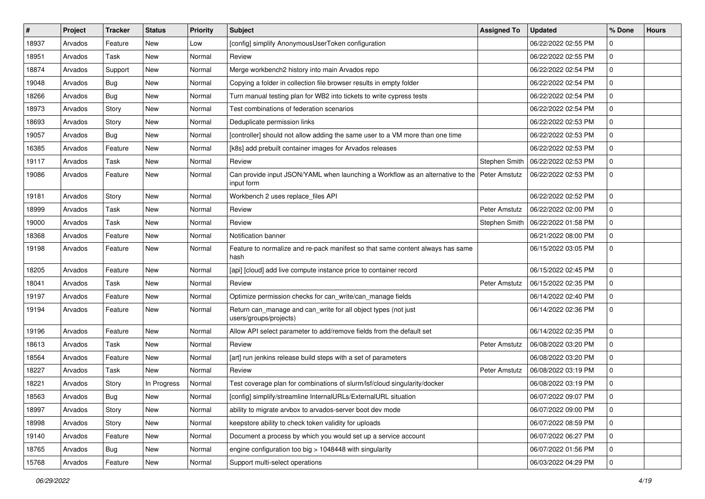| ∦     | Project | <b>Tracker</b> | <b>Status</b> | <b>Priority</b> | <b>Subject</b>                                                                               | <b>Assigned To</b> | <b>Updated</b>      | % Done      | <b>Hours</b> |
|-------|---------|----------------|---------------|-----------------|----------------------------------------------------------------------------------------------|--------------------|---------------------|-------------|--------------|
| 18937 | Arvados | Feature        | <b>New</b>    | Low             | [config] simplify AnonymousUserToken configuration                                           |                    | 06/22/2022 02:55 PM | $\Omega$    |              |
| 18951 | Arvados | Task           | New           | Normal          | Review                                                                                       |                    | 06/22/2022 02:55 PM | $\mathbf 0$ |              |
| 18874 | Arvados | Support        | New           | Normal          | Merge workbench2 history into main Arvados repo                                              |                    | 06/22/2022 02:54 PM | $\mathbf 0$ |              |
| 19048 | Arvados | Bug            | <b>New</b>    | Normal          | Copying a folder in collection file browser results in empty folder                          |                    | 06/22/2022 02:54 PM | $\mathbf 0$ |              |
| 18266 | Arvados | Bug            | <b>New</b>    | Normal          | Turn manual testing plan for WB2 into tickets to write cypress tests                         |                    | 06/22/2022 02:54 PM | $\mathbf 0$ |              |
| 18973 | Arvados | Story          | <b>New</b>    | Normal          | Test combinations of federation scenarios                                                    |                    | 06/22/2022 02:54 PM | $\mathbf 0$ |              |
| 18693 | Arvados | Story          | <b>New</b>    | Normal          | Deduplicate permission links                                                                 |                    | 06/22/2022 02:53 PM | $\mathbf 0$ |              |
| 19057 | Arvados | Bug            | New           | Normal          | [controller] should not allow adding the same user to a VM more than one time                |                    | 06/22/2022 02:53 PM | $\mathbf 0$ |              |
| 16385 | Arvados | Feature        | <b>New</b>    | Normal          | [k8s] add prebuilt container images for Arvados releases                                     |                    | 06/22/2022 02:53 PM | $\mathbf 0$ |              |
| 19117 | Arvados | <b>Task</b>    | <b>New</b>    | Normal          | Review                                                                                       | Stephen Smith      | 06/22/2022 02:53 PM | $\mathbf 0$ |              |
| 19086 | Arvados | Feature        | <b>New</b>    | Normal          | Can provide input JSON/YAML when launching a Workflow as an alternative to the<br>input form | Peter Amstutz      | 06/22/2022 02:53 PM | $\mathbf 0$ |              |
| 19181 | Arvados | Story          | <b>New</b>    | Normal          | Workbench 2 uses replace_files API                                                           |                    | 06/22/2022 02:52 PM | $\mathbf 0$ |              |
| 18999 | Arvados | Task           | New           | Normal          | Review                                                                                       | Peter Amstutz      | 06/22/2022 02:00 PM | $\mathbf 0$ |              |
| 19000 | Arvados | <b>Task</b>    | <b>New</b>    | Normal          | Review                                                                                       | Stephen Smith      | 06/22/2022 01:58 PM | $\mathbf 0$ |              |
| 18368 | Arvados | Feature        | <b>New</b>    | Normal          | Notification banner                                                                          |                    | 06/21/2022 08:00 PM | $\mathbf 0$ |              |
| 19198 | Arvados | Feature        | New           | Normal          | Feature to normalize and re-pack manifest so that same content always has same<br>hash       |                    | 06/15/2022 03:05 PM | $\mathbf 0$ |              |
| 18205 | Arvados | Feature        | <b>New</b>    | Normal          | [api] [cloud] add live compute instance price to container record                            |                    | 06/15/2022 02:45 PM | $\mathbf 0$ |              |
| 18041 | Arvados | Task           | <b>New</b>    | Normal          | Review                                                                                       | Peter Amstutz      | 06/15/2022 02:35 PM | $\mathbf 0$ |              |
| 19197 | Arvados | Feature        | <b>New</b>    | Normal          | Optimize permission checks for can_write/can_manage fields                                   |                    | 06/14/2022 02:40 PM | $\mathbf 0$ |              |
| 19194 | Arvados | Feature        | <b>New</b>    | Normal          | Return can_manage and can_write for all object types (not just<br>users/groups/projects)     |                    | 06/14/2022 02:36 PM | $\mathbf 0$ |              |
| 19196 | Arvados | Feature        | <b>New</b>    | Normal          | Allow API select parameter to add/remove fields from the default set                         |                    | 06/14/2022 02:35 PM | $\mathbf 0$ |              |
| 18613 | Arvados | Task           | <b>New</b>    | Normal          | Review                                                                                       | Peter Amstutz      | 06/08/2022 03:20 PM | $\mathbf 0$ |              |
| 18564 | Arvados | Feature        | <b>New</b>    | Normal          | [art] run jenkins release build steps with a set of parameters                               |                    | 06/08/2022 03:20 PM | $\mathbf 0$ |              |
| 18227 | Arvados | Task           | New           | Normal          | Review                                                                                       | Peter Amstutz      | 06/08/2022 03:19 PM | $\mathbf 0$ |              |
| 18221 | Arvados | Story          | In Progress   | Normal          | Test coverage plan for combinations of slurm/lsf/cloud singularity/docker                    |                    | 06/08/2022 03:19 PM | $\mathbf 0$ |              |
| 18563 | Arvados | Bug            | New           | Normal          | [config] simplify/streamline InternalURLs/ExternalURL situation                              |                    | 06/07/2022 09:07 PM | $\mathbf 0$ |              |
| 18997 | Arvados | Story          | New           | Normal          | ability to migrate arvbox to arvados-server boot dev mode                                    |                    | 06/07/2022 09:00 PM | $\mathbf 0$ |              |
| 18998 | Arvados | Story          | New           | Normal          | keepstore ability to check token validity for uploads                                        |                    | 06/07/2022 08:59 PM | $\mathbf 0$ |              |
| 19140 | Arvados | Feature        | New           | Normal          | Document a process by which you would set up a service account                               |                    | 06/07/2022 06:27 PM | $\mathbf 0$ |              |
| 18765 | Arvados | Bug            | New           | Normal          | engine configuration too big > 1048448 with singularity                                      |                    | 06/07/2022 01:56 PM | $\mathbf 0$ |              |
| 15768 | Arvados | Feature        | New           | Normal          | Support multi-select operations                                                              |                    | 06/03/2022 04:29 PM | $\mathbf 0$ |              |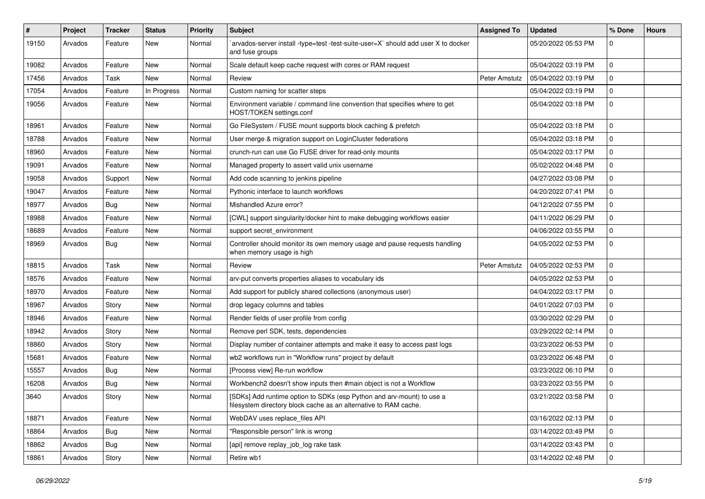| ∦     | Project | <b>Tracker</b> | <b>Status</b> | <b>Priority</b> | <b>Subject</b>                                                                                                                            | <b>Assigned To</b> | <b>Updated</b>      | % Done        | <b>Hours</b> |
|-------|---------|----------------|---------------|-----------------|-------------------------------------------------------------------------------------------------------------------------------------------|--------------------|---------------------|---------------|--------------|
| 19150 | Arvados | Feature        | New           | Normal          | `arvados-server install -type=test -test-suite-user=X` should add user X to docker<br>and fuse groups                                     |                    | 05/20/2022 05:53 PM | 0             |              |
| 19082 | Arvados | Feature        | <b>New</b>    | Normal          | Scale default keep cache request with cores or RAM request                                                                                |                    | 05/04/2022 03:19 PM | $\mathbf 0$   |              |
| 17456 | Arvados | Task           | <b>New</b>    | Normal          | Review                                                                                                                                    | Peter Amstutz      | 05/04/2022 03:19 PM | $\mathbf 0$   |              |
| 17054 | Arvados | Feature        | In Progress   | Normal          | Custom naming for scatter steps                                                                                                           |                    | 05/04/2022 03:19 PM | $\mathbf 0$   |              |
| 19056 | Arvados | Feature        | New           | Normal          | Environment variable / command line convention that specifies where to get<br>HOST/TOKEN settings.conf                                    |                    | 05/04/2022 03:18 PM | $\mathbf 0$   |              |
| 18961 | Arvados | Feature        | <b>New</b>    | Normal          | Go FileSystem / FUSE mount supports block caching & prefetch                                                                              |                    | 05/04/2022 03:18 PM | $\mathbf 0$   |              |
| 18788 | Arvados | Feature        | <b>New</b>    | Normal          | User merge & migration support on LoginCluster federations                                                                                |                    | 05/04/2022 03:18 PM | $\mathbf 0$   |              |
| 18960 | Arvados | Feature        | <b>New</b>    | Normal          | crunch-run can use Go FUSE driver for read-only mounts                                                                                    |                    | 05/04/2022 03:17 PM | $\mathbf 0$   |              |
| 19091 | Arvados | Feature        | <b>New</b>    | Normal          | Managed property to assert valid unix username                                                                                            |                    | 05/02/2022 04:48 PM | $\mathbf 0$   |              |
| 19058 | Arvados | Support        | New           | Normal          | Add code scanning to jenkins pipeline                                                                                                     |                    | 04/27/2022 03:08 PM | $\mathbf 0$   |              |
| 19047 | Arvados | Feature        | <b>New</b>    | Normal          | Pythonic interface to launch workflows                                                                                                    |                    | 04/20/2022 07:41 PM | $\mathbf 0$   |              |
| 18977 | Arvados | Bug            | <b>New</b>    | Normal          | Mishandled Azure error?                                                                                                                   |                    | 04/12/2022 07:55 PM | $\mathbf 0$   |              |
| 18988 | Arvados | Feature        | <b>New</b>    | Normal          | [CWL] support singularity/docker hint to make debugging workflows easier                                                                  |                    | 04/11/2022 06:29 PM | $\mathbf 0$   |              |
| 18689 | Arvados | Feature        | New           | Normal          | support secret environment                                                                                                                |                    | 04/06/2022 03:55 PM | $\mathbf 0$   |              |
| 18969 | Arvados | <b>Bug</b>     | New           | Normal          | Controller should monitor its own memory usage and pause requests handling<br>when memory usage is high                                   |                    | 04/05/2022 02:53 PM | $\mathbf 0$   |              |
| 18815 | Arvados | Task           | <b>New</b>    | Normal          | Review                                                                                                                                    | Peter Amstutz      | 04/05/2022 02:53 PM | $\mathbf 0$   |              |
| 18576 | Arvados | Feature        | <b>New</b>    | Normal          | arv-put converts properties aliases to vocabulary ids                                                                                     |                    | 04/05/2022 02:53 PM | $\mathbf 0$   |              |
| 18970 | Arvados | Feature        | <b>New</b>    | Normal          | Add support for publicly shared collections (anonymous user)                                                                              |                    | 04/04/2022 03:17 PM | $\mathbf 0$   |              |
| 18967 | Arvados | Story          | <b>New</b>    | Normal          | drop legacy columns and tables                                                                                                            |                    | 04/01/2022 07:03 PM | $\mathbf 0$   |              |
| 18946 | Arvados | Feature        | <b>New</b>    | Normal          | Render fields of user profile from config                                                                                                 |                    | 03/30/2022 02:29 PM | $\mathbf 0$   |              |
| 18942 | Arvados | Story          | <b>New</b>    | Normal          | Remove perl SDK, tests, dependencies                                                                                                      |                    | 03/29/2022 02:14 PM | $\mathbf 0$   |              |
| 18860 | Arvados | Story          | <b>New</b>    | Normal          | Display number of container attempts and make it easy to access past logs                                                                 |                    | 03/23/2022 06:53 PM | $\mathbf 0$   |              |
| 15681 | Arvados | Feature        | <b>New</b>    | Normal          | wb2 workflows run in "Workflow runs" project by default                                                                                   |                    | 03/23/2022 06:48 PM | $\mathbf 0$   |              |
| 15557 | Arvados | Bug            | New           | Normal          | [Process view] Re-run workflow                                                                                                            |                    | 03/23/2022 06:10 PM | $\mathbf 0$   |              |
| 16208 | Arvados | <b>Bug</b>     | <b>New</b>    | Normal          | Workbench2 doesn't show inputs then #main object is not a Workflow                                                                        |                    | 03/23/2022 03:55 PM | $\mathbf 0$   |              |
| 3640  | Arvados | Story          | New           | Normal          | [SDKs] Add runtime option to SDKs (esp Python and arv-mount) to use a<br>filesystem directory block cache as an alternative to RAM cache. |                    | 03/21/2022 03:58 PM | $^{\prime}$ 0 |              |
| 18871 | Arvados | Feature        | New           | Normal          | WebDAV uses replace_files API                                                                                                             |                    | 03/16/2022 02:13 PM | 0             |              |
| 18864 | Arvados | <b>Bug</b>     | New           | Normal          | "Responsible person" link is wrong                                                                                                        |                    | 03/14/2022 03:49 PM | $\mathbf 0$   |              |
| 18862 | Arvados | Bug            | New           | Normal          | [api] remove replay_job_log rake task                                                                                                     |                    | 03/14/2022 03:43 PM | $\mathbf 0$   |              |
| 18861 | Arvados | Story          | New           | Normal          | Retire wb1                                                                                                                                |                    | 03/14/2022 02:48 PM | $\mathbf 0$   |              |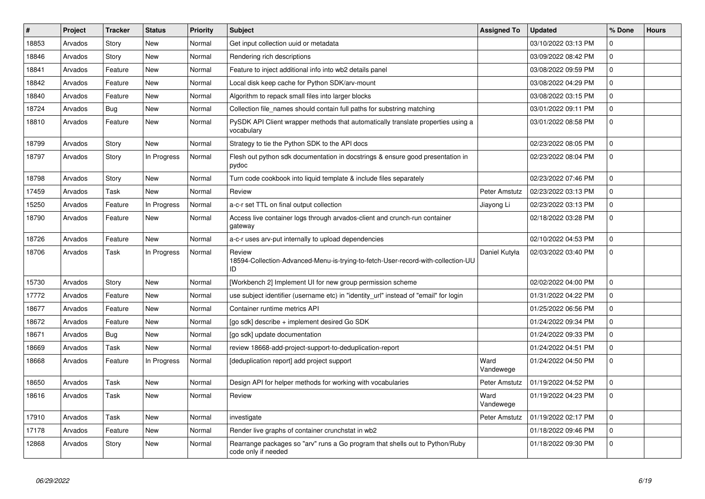| #     | Project | <b>Tracker</b> | <b>Status</b> | <b>Priority</b> | <b>Subject</b>                                                                                      | <b>Assigned To</b> | <b>Updated</b>      | % Done       | <b>Hours</b> |
|-------|---------|----------------|---------------|-----------------|-----------------------------------------------------------------------------------------------------|--------------------|---------------------|--------------|--------------|
| 18853 | Arvados | Story          | <b>New</b>    | Normal          | Get input collection uuid or metadata                                                               |                    | 03/10/2022 03:13 PM | $\mathbf 0$  |              |
| 18846 | Arvados | Story          | <b>New</b>    | Normal          | Rendering rich descriptions                                                                         |                    | 03/09/2022 08:42 PM | $\Omega$     |              |
| 18841 | Arvados | Feature        | <b>New</b>    | Normal          | Feature to inject additional info into wb2 details panel                                            |                    | 03/08/2022 09:59 PM | $\mathbf 0$  |              |
| 18842 | Arvados | Feature        | <b>New</b>    | Normal          | Local disk keep cache for Python SDK/arv-mount                                                      |                    | 03/08/2022 04:29 PM | $\mathbf 0$  |              |
| 18840 | Arvados | Feature        | <b>New</b>    | Normal          | Algorithm to repack small files into larger blocks                                                  |                    | 03/08/2022 03:15 PM | $\mathbf{0}$ |              |
| 18724 | Arvados | <b>Bug</b>     | <b>New</b>    | Normal          | Collection file names should contain full paths for substring matching                              |                    | 03/01/2022 09:11 PM | $\mathbf 0$  |              |
| 18810 | Arvados | Feature        | <b>New</b>    | Normal          | PySDK API Client wrapper methods that automatically translate properties using a<br>vocabulary      |                    | 03/01/2022 08:58 PM | $\mathbf 0$  |              |
| 18799 | Arvados | Story          | <b>New</b>    | Normal          | Strategy to tie the Python SDK to the API docs                                                      |                    | 02/23/2022 08:05 PM | $\mathbf 0$  |              |
| 18797 | Arvados | Story          | In Progress   | Normal          | Flesh out python sdk documentation in docstrings & ensure good presentation in<br>pydoc             |                    | 02/23/2022 08:04 PM | $\mathbf 0$  |              |
| 18798 | Arvados | Story          | <b>New</b>    | Normal          | Turn code cookbook into liquid template & include files separately                                  |                    | 02/23/2022 07:46 PM | $\mathsf 0$  |              |
| 17459 | Arvados | Task           | <b>New</b>    | Normal          | Review                                                                                              | Peter Amstutz      | 02/23/2022 03:13 PM | $\Omega$     |              |
| 15250 | Arvados | Feature        | In Progress   | Normal          | a-c-r set TTL on final output collection                                                            | Jiayong Li         | 02/23/2022 03:13 PM | $\mathbf 0$  |              |
| 18790 | Arvados | Feature        | <b>New</b>    | Normal          | Access live container logs through arvados-client and crunch-run container<br>gateway               |                    | 02/18/2022 03:28 PM | $\mathsf 0$  |              |
| 18726 | Arvados | Feature        | <b>New</b>    | Normal          | a-c-r uses arv-put internally to upload dependencies                                                |                    | 02/10/2022 04:53 PM | $\Omega$     |              |
| 18706 | Arvados | Task           | In Progress   | Normal          | Review<br>18594-Collection-Advanced-Menu-is-trying-to-fetch-User-record-with-collection-UU<br>ID    | Daniel Kutyła      | 02/03/2022 03:40 PM | $\mathbf 0$  |              |
| 15730 | Arvados | Story          | <b>New</b>    | Normal          | [Workbench 2] Implement UI for new group permission scheme                                          |                    | 02/02/2022 04:00 PM | $\mathbf{0}$ |              |
| 17772 | Arvados | Feature        | <b>New</b>    | Normal          | use subject identifier (username etc) in "identity_url" instead of "email" for login                |                    | 01/31/2022 04:22 PM | $\Omega$     |              |
| 18677 | Arvados | Feature        | New           | Normal          | Container runtime metrics API                                                                       |                    | 01/25/2022 06:56 PM | $\Omega$     |              |
| 18672 | Arvados | Feature        | <b>New</b>    | Normal          | [go sdk] describe + implement desired Go SDK                                                        |                    | 01/24/2022 09:34 PM | $\mathbf 0$  |              |
| 18671 | Arvados | <b>Bug</b>     | <b>New</b>    | Normal          | [go sdk] update documentation                                                                       |                    | 01/24/2022 09:33 PM | $\mathbf{0}$ |              |
| 18669 | Arvados | Task           | <b>New</b>    | Normal          | review 18668-add-project-support-to-deduplication-report                                            |                    | 01/24/2022 04:51 PM | $\mathbf 0$  |              |
| 18668 | Arvados | Feature        | In Progress   | Normal          | [deduplication report] add project support                                                          | Ward<br>Vandewege  | 01/24/2022 04:50 PM | $\mathbf 0$  |              |
| 18650 | Arvados | Task           | <b>New</b>    | Normal          | Design API for helper methods for working with vocabularies                                         | Peter Amstutz      | 01/19/2022 04:52 PM | $\mathbf 0$  |              |
| 18616 | Arvados | Task           | <b>New</b>    | Normal          | Review                                                                                              | Ward<br>Vandewege  | 01/19/2022 04:23 PM | $\Omega$     |              |
| 17910 | Arvados | Task           | <b>New</b>    | Normal          | investigate                                                                                         | Peter Amstutz      | 01/19/2022 02:17 PM | $\mathbf 0$  |              |
| 17178 | Arvados | Feature        | <b>New</b>    | Normal          | Render live graphs of container crunchstat in wb2                                                   |                    | 01/18/2022 09:46 PM | $\mathbf 0$  |              |
| 12868 | Arvados | Story          | <b>New</b>    | Normal          | Rearrange packages so "ary" runs a Go program that shells out to Python/Ruby<br>code only if needed |                    | 01/18/2022 09:30 PM | $\mathbf 0$  |              |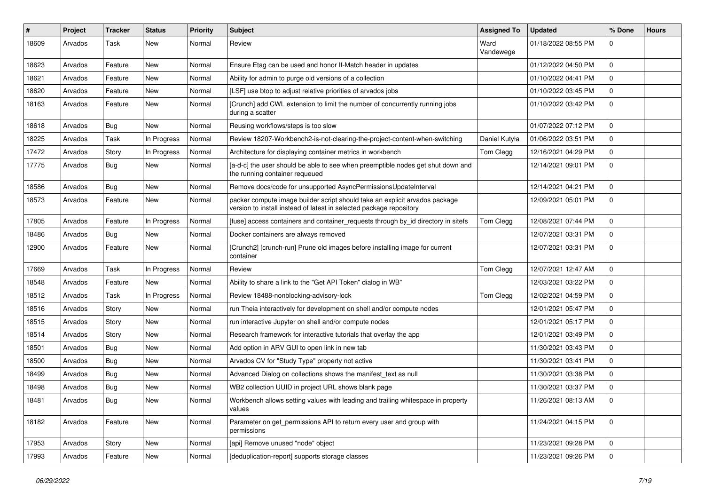| #     | Project | <b>Tracker</b> | <b>Status</b> | <b>Priority</b> | <b>Subject</b>                                                                                                                                     | <b>Assigned To</b> | <b>Updated</b>      | % Done       | <b>Hours</b> |
|-------|---------|----------------|---------------|-----------------|----------------------------------------------------------------------------------------------------------------------------------------------------|--------------------|---------------------|--------------|--------------|
| 18609 | Arvados | Task           | <b>New</b>    | Normal          | Review                                                                                                                                             | Ward<br>Vandewege  | 01/18/2022 08:55 PM | $\Omega$     |              |
| 18623 | Arvados | Feature        | <b>New</b>    | Normal          | Ensure Etag can be used and honor If-Match header in updates                                                                                       |                    | 01/12/2022 04:50 PM | $\mathbf 0$  |              |
| 18621 | Arvados | Feature        | <b>New</b>    | Normal          | Ability for admin to purge old versions of a collection                                                                                            |                    | 01/10/2022 04:41 PM | $\mathbf 0$  |              |
| 18620 | Arvados | Feature        | <b>New</b>    | Normal          | [LSF] use btop to adjust relative priorities of arvados jobs                                                                                       |                    | 01/10/2022 03:45 PM | $\mathbf 0$  |              |
| 18163 | Arvados | Feature        | New           | Normal          | [Crunch] add CWL extension to limit the number of concurrently running jobs<br>during a scatter                                                    |                    | 01/10/2022 03:42 PM | $\mathbf 0$  |              |
| 18618 | Arvados | Bug            | New           | Normal          | Reusing workflows/steps is too slow                                                                                                                |                    | 01/07/2022 07:12 PM | $\mathbf 0$  |              |
| 18225 | Arvados | Task           | In Progress   | Normal          | Review 18207-Workbench2-is-not-clearing-the-project-content-when-switching                                                                         | Daniel Kutyła      | 01/06/2022 03:51 PM | $\Omega$     |              |
| 17472 | Arvados | Story          | In Progress   | Normal          | Architecture for displaying container metrics in workbench                                                                                         | Tom Clegg          | 12/16/2021 04:29 PM | $\mathbf 0$  |              |
| 17775 | Arvados | <b>Bug</b>     | New           | Normal          | [a-d-c] the user should be able to see when preemptible nodes get shut down and<br>the running container requeued                                  |                    | 12/14/2021 09:01 PM | $\mathbf 0$  |              |
| 18586 | Arvados | Bug            | <b>New</b>    | Normal          | Remove docs/code for unsupported AsyncPermissionsUpdateInterval                                                                                    |                    | 12/14/2021 04:21 PM | $\mathbf 0$  |              |
| 18573 | Arvados | Feature        | New           | Normal          | packer compute image builder script should take an explicit arvados package<br>version to install instead of latest in selected package repository |                    | 12/09/2021 05:01 PM | 0            |              |
| 17805 | Arvados | Feature        | In Progress   | Normal          | [fuse] access containers and container_requests through by_id directory in sitefs                                                                  | Tom Clegg          | 12/08/2021 07:44 PM | $\mathbf 0$  |              |
| 18486 | Arvados | <b>Bug</b>     | <b>New</b>    | Normal          | Docker containers are always removed                                                                                                               |                    | 12/07/2021 03:31 PM | $\Omega$     |              |
| 12900 | Arvados | Feature        | <b>New</b>    | Normal          | [Crunch2] [crunch-run] Prune old images before installing image for current<br>container                                                           |                    | 12/07/2021 03:31 PM | $\mathbf 0$  |              |
| 17669 | Arvados | <b>Task</b>    | In Progress   | Normal          | Review                                                                                                                                             | Tom Clegg          | 12/07/2021 12:47 AM | $\mathbf 0$  |              |
| 18548 | Arvados | Feature        | <b>New</b>    | Normal          | Ability to share a link to the "Get API Token" dialog in WB"                                                                                       |                    | 12/03/2021 03:22 PM | $\mathbf 0$  |              |
| 18512 | Arvados | <b>Task</b>    | In Progress   | Normal          | Review 18488-nonblocking-advisory-lock                                                                                                             | Tom Clegg          | 12/02/2021 04:59 PM | $\Omega$     |              |
| 18516 | Arvados | Story          | <b>New</b>    | Normal          | run Theia interactively for development on shell and/or compute nodes                                                                              |                    | 12/01/2021 05:47 PM | $\mathbf 0$  |              |
| 18515 | Arvados | Story          | New           | Normal          | run interactive Jupyter on shell and/or compute nodes                                                                                              |                    | 12/01/2021 05:17 PM | $\mathbf 0$  |              |
| 18514 | Arvados | Story          | <b>New</b>    | Normal          | Research framework for interactive tutorials that overlay the app                                                                                  |                    | 12/01/2021 03:49 PM | $\mathbf 0$  |              |
| 18501 | Arvados | Bug            | <b>New</b>    | Normal          | Add option in ARV GUI to open link in new tab                                                                                                      |                    | 11/30/2021 03:43 PM | $\mathbf 0$  |              |
| 18500 | Arvados | Bug            | New           | Normal          | Arvados CV for "Study Type" property not active                                                                                                    |                    | 11/30/2021 03:41 PM | $\mathbf 0$  |              |
| 18499 | Arvados | <b>Bug</b>     | <b>New</b>    | Normal          | Advanced Dialog on collections shows the manifest_text as null                                                                                     |                    | 11/30/2021 03:38 PM | $\mathbf 0$  |              |
| 18498 | Arvados | Bug            | <b>New</b>    | Normal          | WB2 collection UUID in project URL shows blank page                                                                                                |                    | 11/30/2021 03:37 PM | $\mathbf 0$  |              |
| 18481 | Arvados | <b>Bug</b>     | New           | Normal          | Workbench allows setting values with leading and trailing whitespace in property<br>values                                                         |                    | 11/26/2021 08:13 AM |              |              |
| 18182 | Arvados | Feature        | New           | Normal          | Parameter on get_permissions API to return every user and group with<br>permissions                                                                |                    | 11/24/2021 04:15 PM | $\mathbf 0$  |              |
| 17953 | Arvados | Story          | <b>New</b>    | Normal          | [api] Remove unused "node" object                                                                                                                  |                    | 11/23/2021 09:28 PM | $\mathbf{0}$ |              |
| 17993 | Arvados | Feature        | New           | Normal          | [deduplication-report] supports storage classes                                                                                                    |                    | 11/23/2021 09:26 PM | 0            |              |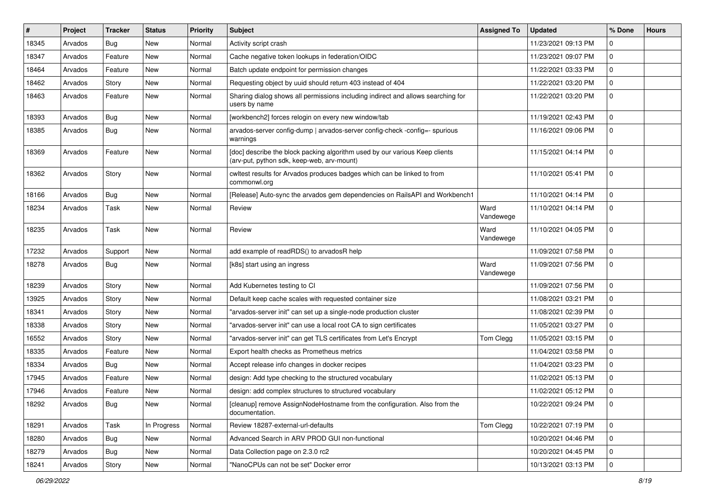| $\#$  | Project | <b>Tracker</b> | <b>Status</b> | <b>Priority</b> | Subject                                                                                                                   | <b>Assigned To</b> | <b>Updated</b>      | % Done         | <b>Hours</b> |
|-------|---------|----------------|---------------|-----------------|---------------------------------------------------------------------------------------------------------------------------|--------------------|---------------------|----------------|--------------|
| 18345 | Arvados | Bug            | New           | Normal          | Activity script crash                                                                                                     |                    | 11/23/2021 09:13 PM | O              |              |
| 18347 | Arvados | Feature        | <b>New</b>    | Normal          | Cache negative token lookups in federation/OIDC                                                                           |                    | 11/23/2021 09:07 PM | $\Omega$       |              |
| 18464 | Arvados | Feature        | New           | Normal          | Batch update endpoint for permission changes                                                                              |                    | 11/22/2021 03:33 PM | $\Omega$       |              |
| 18462 | Arvados | Story          | New           | Normal          | Requesting object by uuid should return 403 instead of 404                                                                |                    | 11/22/2021 03:20 PM | $\Omega$       |              |
| 18463 | Arvados | Feature        | <b>New</b>    | Normal          | Sharing dialog shows all permissions including indirect and allows searching for<br>users by name                         |                    | 11/22/2021 03:20 PM | $\Omega$       |              |
| 18393 | Arvados | Bug            | <b>New</b>    | Normal          | [workbench2] forces relogin on every new window/tab                                                                       |                    | 11/19/2021 02:43 PM | $\Omega$       |              |
| 18385 | Arvados | Bug            | New           | Normal          | arvados-server config-dump   arvados-server config-check -config=- spurious<br>warnings                                   |                    | 11/16/2021 09:06 PM | $\Omega$       |              |
| 18369 | Arvados | Feature        | <b>New</b>    | Normal          | [doc] describe the block packing algorithm used by our various Keep clients<br>(arv-put, python sdk, keep-web, arv-mount) |                    | 11/15/2021 04:14 PM | $\Omega$       |              |
| 18362 | Arvados | Story          | New           | Normal          | cwltest results for Arvados produces badges which can be linked to from<br>commonwl.org                                   |                    | 11/10/2021 05:41 PM | $\Omega$       |              |
| 18166 | Arvados | Bug            | New           | Normal          | [Release] Auto-sync the arvados gem dependencies on RailsAPI and Workbench1                                               |                    | 11/10/2021 04:14 PM | $\Omega$       |              |
| 18234 | Arvados | Task           | New           | Normal          | Review                                                                                                                    | Ward<br>Vandewege  | 11/10/2021 04:14 PM | $\Omega$       |              |
| 18235 | Arvados | Task           | <b>New</b>    | Normal          | Review                                                                                                                    | Ward<br>Vandewege  | 11/10/2021 04:05 PM | $\Omega$       |              |
| 17232 | Arvados | Support        | New           | Normal          | add example of readRDS() to arvadosR help                                                                                 |                    | 11/09/2021 07:58 PM | $\mathbf 0$    |              |
| 18278 | Arvados | Bug            | New           | Normal          | [k8s] start using an ingress                                                                                              | Ward<br>Vandewege  | 11/09/2021 07:56 PM | $\Omega$       |              |
| 18239 | Arvados | Story          | New           | Normal          | Add Kubernetes testing to CI                                                                                              |                    | 11/09/2021 07:56 PM | $\Omega$       |              |
| 13925 | Arvados | Story          | New           | Normal          | Default keep cache scales with requested container size                                                                   |                    | 11/08/2021 03:21 PM | $\Omega$       |              |
| 18341 | Arvados | Story          | <b>New</b>    | Normal          | "arvados-server init" can set up a single-node production cluster                                                         |                    | 11/08/2021 02:39 PM | $\Omega$       |              |
| 18338 | Arvados | Story          | New           | Normal          | "arvados-server init" can use a local root CA to sign certificates                                                        |                    | 11/05/2021 03:27 PM | $\Omega$       |              |
| 16552 | Arvados | Story          | <b>New</b>    | Normal          | "arvados-server init" can get TLS certificates from Let's Encrypt                                                         | Tom Clegg          | 11/05/2021 03:15 PM | $\Omega$       |              |
| 18335 | Arvados | Feature        | New           | Normal          | Export health checks as Prometheus metrics                                                                                |                    | 11/04/2021 03:58 PM | $\Omega$       |              |
| 18334 | Arvados | Bug            | <b>New</b>    | Normal          | Accept release info changes in docker recipes                                                                             |                    | 11/04/2021 03:23 PM | $\Omega$       |              |
| 17945 | Arvados | Feature        | <b>New</b>    | Normal          | design: Add type checking to the structured vocabulary                                                                    |                    | 11/02/2021 05:13 PM | $\Omega$       |              |
| 17946 | Arvados | Feature        | New           | Normal          | design: add complex structures to structured vocabulary                                                                   |                    | 11/02/2021 05:12 PM | $\Omega$       |              |
| 18292 | Arvados | <b>Bug</b>     | New           | Normal          | [cleanup] remove AssignNodeHostname from the configuration. Also from the<br>documentation.                               |                    | 10/22/2021 09:24 PM | 0              |              |
| 18291 | Arvados | Task           | In Progress   | Normal          | Review 18287-external-url-defaults                                                                                        | Tom Clegg          | 10/22/2021 07:19 PM | $\Omega$       |              |
| 18280 | Arvados | Bug            | New           | Normal          | Advanced Search in ARV PROD GUI non-functional                                                                            |                    | 10/20/2021 04:46 PM | $\overline{0}$ |              |
| 18279 | Arvados | <b>Bug</b>     | New           | Normal          | Data Collection page on 2.3.0 rc2                                                                                         |                    | 10/20/2021 04:45 PM | $\mathbf 0$    |              |
| 18241 | Arvados | Story          | New           | Normal          | "NanoCPUs can not be set" Docker error                                                                                    |                    | 10/13/2021 03:13 PM | $\mathbf 0$    |              |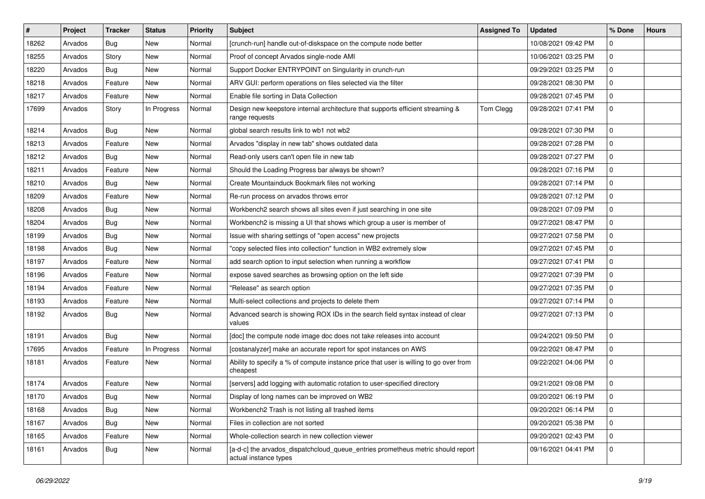| #     | Project | <b>Tracker</b> | <b>Status</b> | <b>Priority</b> | <b>Subject</b>                                                                                           | <b>Assigned To</b> | <b>Updated</b>      | % Done      | <b>Hours</b> |
|-------|---------|----------------|---------------|-----------------|----------------------------------------------------------------------------------------------------------|--------------------|---------------------|-------------|--------------|
| 18262 | Arvados | Bug            | <b>New</b>    | Normal          | [crunch-run] handle out-of-diskspace on the compute node better                                          |                    | 10/08/2021 09:42 PM | U           |              |
| 18255 | Arvados | Story          | <b>New</b>    | Normal          | Proof of concept Arvados single-node AMI                                                                 |                    | 10/06/2021 03:25 PM | $\Omega$    |              |
| 18220 | Arvados | <b>Bug</b>     | New           | Normal          | Support Docker ENTRYPOINT on Singularity in crunch-run                                                   |                    | 09/29/2021 03:25 PM | $\Omega$    |              |
| 18218 | Arvados | Feature        | New           | Normal          | ARV GUI: perform operations on files selected via the filter                                             |                    | 09/28/2021 08:30 PM | $\Omega$    |              |
| 18217 | Arvados | Feature        | New           | Normal          | Enable file sorting in Data Collection                                                                   |                    | 09/28/2021 07:45 PM | $\Omega$    |              |
| 17699 | Arvados | Story          | In Progress   | Normal          | Design new keepstore internal architecture that supports efficient streaming &<br>range requests         | Tom Clegg          | 09/28/2021 07:41 PM | $\Omega$    |              |
| 18214 | Arvados | Bug            | New           | Normal          | global search results link to wb1 not wb2                                                                |                    | 09/28/2021 07:30 PM | $\Omega$    |              |
| 18213 | Arvados | Feature        | <b>New</b>    | Normal          | Arvados "display in new tab" shows outdated data                                                         |                    | 09/28/2021 07:28 PM | $\Omega$    |              |
| 18212 | Arvados | Bug            | <b>New</b>    | Normal          | Read-only users can't open file in new tab                                                               |                    | 09/28/2021 07:27 PM | $\Omega$    |              |
| 18211 | Arvados | Feature        | New           | Normal          | Should the Loading Progress bar always be shown?                                                         |                    | 09/28/2021 07:16 PM | $\Omega$    |              |
| 18210 | Arvados | Bug            | New           | Normal          | Create Mountainduck Bookmark files not working                                                           |                    | 09/28/2021 07:14 PM | $\Omega$    |              |
| 18209 | Arvados | Feature        | New           | Normal          | Re-run process on arvados throws error                                                                   |                    | 09/28/2021 07:12 PM | $\Omega$    |              |
| 18208 | Arvados | Bug            | New           | Normal          | Workbench2 search shows all sites even if just searching in one site                                     |                    | 09/28/2021 07:09 PM | 0           |              |
| 18204 | Arvados | Bug            | <b>New</b>    | Normal          | Workbench2 is missing a UI that shows which group a user is member of                                    |                    | 09/27/2021 08:47 PM | $\Omega$    |              |
| 18199 | Arvados | Bug            | New           | Normal          | Issue with sharing settings of "open access" new projects                                                |                    | 09/27/2021 07:58 PM | $\Omega$    |              |
| 18198 | Arvados | Bug            | New           | Normal          | "copy selected files into collection" function in WB2 extremely slow                                     |                    | 09/27/2021 07:45 PM | $\Omega$    |              |
| 18197 | Arvados | Feature        | <b>New</b>    | Normal          | add search option to input selection when running a workflow                                             |                    | 09/27/2021 07:41 PM | $\Omega$    |              |
| 18196 | Arvados | Feature        | New           | Normal          | expose saved searches as browsing option on the left side                                                |                    | 09/27/2021 07:39 PM | 0           |              |
| 18194 | Arvados | Feature        | <b>New</b>    | Normal          | "Release" as search option                                                                               |                    | 09/27/2021 07:35 PM | $\Omega$    |              |
| 18193 | Arvados | Feature        | New           | Normal          | Multi-select collections and projects to delete them                                                     |                    | 09/27/2021 07:14 PM | $\Omega$    |              |
| 18192 | Arvados | Bug            | New           | Normal          | Advanced search is showing ROX IDs in the search field syntax instead of clear<br>values                 |                    | 09/27/2021 07:13 PM | $\Omega$    |              |
| 18191 | Arvados | Bug            | New           | Normal          | [doc] the compute node image doc does not take releases into account                                     |                    | 09/24/2021 09:50 PM | $\Omega$    |              |
| 17695 | Arvados | Feature        | In Progress   | Normal          | [costanalyzer] make an accurate report for spot instances on AWS                                         |                    | 09/22/2021 08:47 PM | $\Omega$    |              |
| 18181 | Arvados | Feature        | New           | Normal          | Ability to specify a % of compute instance price that user is willing to go over from<br>cheapest        |                    | 09/22/2021 04:06 PM | $\Omega$    |              |
| 18174 | Arvados | Feature        | <b>New</b>    | Normal          | [servers] add logging with automatic rotation to user-specified directory                                |                    | 09/21/2021 09:08 PM | $\Omega$    |              |
| 18170 | Arvados | Bug            | New           | Normal          | Display of long names can be improved on WB2                                                             |                    | 09/20/2021 06:19 PM | $\Omega$    |              |
| 18168 | Arvados | <b>Bug</b>     | New           | Normal          | Workbench2 Trash is not listing all trashed items                                                        |                    | 09/20/2021 06:14 PM | $\mathbf 0$ |              |
| 18167 | Arvados | <b>Bug</b>     | New           | Normal          | Files in collection are not sorted                                                                       |                    | 09/20/2021 05:38 PM | $\Omega$    |              |
| 18165 | Arvados | Feature        | New           | Normal          | Whole-collection search in new collection viewer                                                         |                    | 09/20/2021 02:43 PM |             |              |
| 18161 | Arvados | <b>Bug</b>     | New           | Normal          | [a-d-c] the arvados_dispatchcloud_queue_entries prometheus metric should report<br>actual instance types |                    | 09/16/2021 04:41 PM | $\Omega$    |              |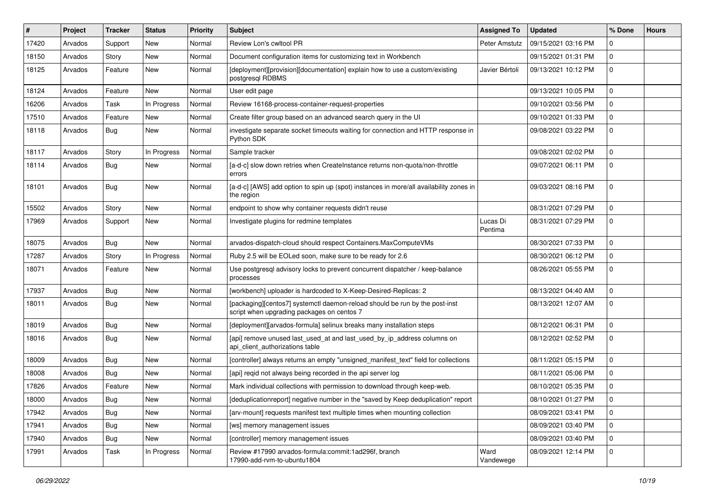| #     | Project | <b>Tracker</b> | <b>Status</b> | <b>Priority</b> | <b>Subject</b>                                                                                                            | <b>Assigned To</b>  | <b>Updated</b>      | % Done       | <b>Hours</b> |
|-------|---------|----------------|---------------|-----------------|---------------------------------------------------------------------------------------------------------------------------|---------------------|---------------------|--------------|--------------|
| 17420 | Arvados | Support        | New           | Normal          | Review Lon's cwltool PR                                                                                                   | Peter Amstutz       | 09/15/2021 03:16 PM |              |              |
| 18150 | Arvados | Story          | <b>New</b>    | Normal          | Document configuration items for customizing text in Workbench                                                            |                     | 09/15/2021 01:31 PM | $\Omega$     |              |
| 18125 | Arvados | Feature        | New           | Normal          | [deployment][provision][documentation] explain how to use a custom/existing<br>postgresql RDBMS                           | Javier Bértoli      | 09/13/2021 10:12 PM | 0            |              |
| 18124 | Arvados | Feature        | <b>New</b>    | Normal          | User edit page                                                                                                            |                     | 09/13/2021 10:05 PM | 0            |              |
| 16206 | Arvados | Task           | In Progress   | Normal          | Review 16168-process-container-request-properties                                                                         |                     | 09/10/2021 03:56 PM | 0            |              |
| 17510 | Arvados | Feature        | New           | Normal          | Create filter group based on an advanced search query in the UI                                                           |                     | 09/10/2021 01:33 PM | $\Omega$     |              |
| 18118 | Arvados | <b>Bug</b>     | New           | Normal          | investigate separate socket timeouts waiting for connection and HTTP response in<br>Python SDK                            |                     | 09/08/2021 03:22 PM | $\Omega$     |              |
| 18117 | Arvados | Story          | In Progress   | Normal          | Sample tracker                                                                                                            |                     | 09/08/2021 02:02 PM | 0            |              |
| 18114 | Arvados | <b>Bug</b>     | New           | Normal          | [a-d-c] slow down retries when CreateInstance returns non-quota/non-throttle<br>errors                                    |                     | 09/07/2021 06:11 PM | $\Omega$     |              |
| 18101 | Arvados | <b>Bug</b>     | <b>New</b>    | Normal          | [a-d-c] [AWS] add option to spin up (spot) instances in more/all availability zones in<br>the region                      |                     | 09/03/2021 08:16 PM | $\Omega$     |              |
| 15502 | Arvados | Story          | New           | Normal          | endpoint to show why container requests didn't reuse                                                                      |                     | 08/31/2021 07:29 PM | $\Omega$     |              |
| 17969 | Arvados | Support        | New           | Normal          | Investigate plugins for redmine templates                                                                                 | Lucas Di<br>Pentima | 08/31/2021 07:29 PM | $\Omega$     |              |
| 18075 | Arvados | <b>Bug</b>     | <b>New</b>    | Normal          | arvados-dispatch-cloud should respect Containers.MaxComputeVMs                                                            |                     | 08/30/2021 07:33 PM | $\Omega$     |              |
| 17287 | Arvados | Story          | In Progress   | Normal          | Ruby 2.5 will be EOLed soon, make sure to be ready for 2.6                                                                |                     | 08/30/2021 06:12 PM | 0            |              |
| 18071 | Arvados | Feature        | New           | Normal          | Use postgresql advisory locks to prevent concurrent dispatcher / keep-balance<br>processes                                |                     | 08/26/2021 05:55 PM | $\Omega$     |              |
| 17937 | Arvados | <b>Bug</b>     | New           | Normal          | [workbench] uploader is hardcoded to X-Keep-Desired-Replicas: 2                                                           |                     | 08/13/2021 04:40 AM | 0            |              |
| 18011 | Arvados | <b>Bug</b>     | New           | Normal          | [packaging][centos7] systemctl daemon-reload should be run by the post-inst<br>script when upgrading packages on centos 7 |                     | 08/13/2021 12:07 AM | $\Omega$     |              |
| 18019 | Arvados | Bug            | <b>New</b>    | Normal          | [deployment][arvados-formula] selinux breaks many installation steps                                                      |                     | 08/12/2021 06:31 PM | 0            |              |
| 18016 | Arvados | <b>Bug</b>     | New           | Normal          | [api] remove unused last_used_at and last_used_by_ip_address columns on<br>api_client_authorizations table                |                     | 08/12/2021 02:52 PM | $\Omega$     |              |
| 18009 | Arvados | <b>Bug</b>     | New           | Normal          | [controller] always returns an empty "unsigned_manifest_text" field for collections                                       |                     | 08/11/2021 05:15 PM | 0            |              |
| 18008 | Arvados | Bug            | New           | Normal          | [api] reqid not always being recorded in the api server log                                                               |                     | 08/11/2021 05:06 PM | $\Omega$     |              |
| 17826 | Arvados | Feature        | New           | Normal          | Mark individual collections with permission to download through keep-web.                                                 |                     | 08/10/2021 05:35 PM | $\Omega$     |              |
| 18000 | Arvados | <b>Bug</b>     | New           | Normal          | [deduplicationreport] negative number in the "saved by Keep deduplication" report                                         |                     | 08/10/2021 01:27 PM |              |              |
| 17942 | Arvados | <b>Bug</b>     | New           | Normal          | [arv-mount] requests manifest text multiple times when mounting collection                                                |                     | 08/09/2021 03:41 PM | $\Omega$     |              |
| 17941 | Arvados | <b>Bug</b>     | New           | Normal          | [ws] memory management issues                                                                                             |                     | 08/09/2021 03:40 PM | $\Omega$     |              |
| 17940 | Arvados | <b>Bug</b>     | New           | Normal          | [controller] memory management issues                                                                                     |                     | 08/09/2021 03:40 PM | $\Omega$     |              |
| 17991 | Arvados | Task           | In Progress   | Normal          | Review #17990 arvados-formula:commit:1ad296f, branch<br>17990-add-rvm-to-ubuntu1804                                       | Ward<br>Vandewege   | 08/09/2021 12:14 PM | $\mathbf{0}$ |              |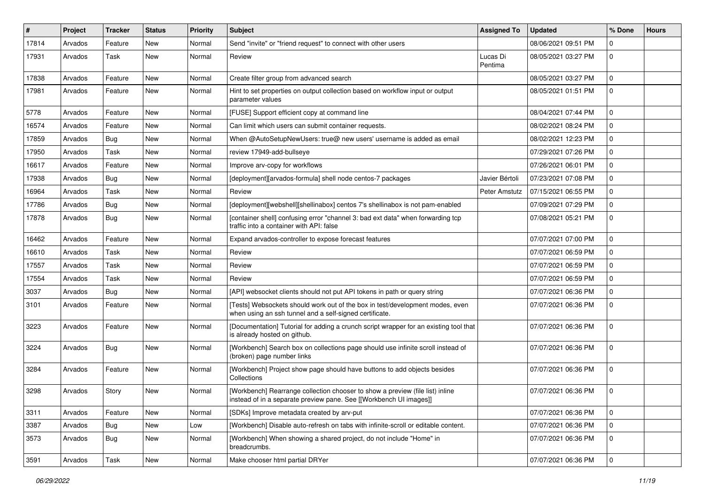| #     | Project | <b>Tracker</b> | <b>Status</b> | <b>Priority</b> | <b>Subject</b>                                                                                                                                      | <b>Assigned To</b>  | <b>Updated</b>      | % Done         | <b>Hours</b> |
|-------|---------|----------------|---------------|-----------------|-----------------------------------------------------------------------------------------------------------------------------------------------------|---------------------|---------------------|----------------|--------------|
| 17814 | Arvados | Feature        | <b>New</b>    | Normal          | Send "invite" or "friend request" to connect with other users                                                                                       |                     | 08/06/2021 09:51 PM | O              |              |
| 17931 | Arvados | <b>Task</b>    | <b>New</b>    | Normal          | Review                                                                                                                                              | Lucas Di<br>Pentima | 08/05/2021 03:27 PM | $\Omega$       |              |
| 17838 | Arvados | Feature        | <b>New</b>    | Normal          | Create filter group from advanced search                                                                                                            |                     | 08/05/2021 03:27 PM | $\Omega$       |              |
| 17981 | Arvados | Feature        | <b>New</b>    | Normal          | Hint to set properties on output collection based on workflow input or output<br>parameter values                                                   |                     | 08/05/2021 01:51 PM | $\Omega$       |              |
| 5778  | Arvados | Feature        | <b>New</b>    | Normal          | [FUSE] Support efficient copy at command line                                                                                                       |                     | 08/04/2021 07:44 PM | $\Omega$       |              |
| 16574 | Arvados | Feature        | New           | Normal          | Can limit which users can submit container requests.                                                                                                |                     | 08/02/2021 08:24 PM | $\Omega$       |              |
| 17859 | Arvados | Bug            | <b>New</b>    | Normal          | When @AutoSetupNewUsers: true@ new users' username is added as email                                                                                |                     | 08/02/2021 12:23 PM | $\Omega$       |              |
| 17950 | Arvados | <b>Task</b>    | <b>New</b>    | Normal          | review 17949-add-bullseye                                                                                                                           |                     | 07/29/2021 07:26 PM | $\Omega$       |              |
| 16617 | Arvados | Feature        | <b>New</b>    | Normal          | Improve arv-copy for workflows                                                                                                                      |                     | 07/26/2021 06:01 PM | $\Omega$       |              |
| 17938 | Arvados | Bug            | <b>New</b>    | Normal          | [deployment][arvados-formula] shell node centos-7 packages                                                                                          | Javier Bértoli      | 07/23/2021 07:08 PM | $\Omega$       |              |
| 16964 | Arvados | Task           | <b>New</b>    | Normal          | Review                                                                                                                                              | Peter Amstutz       | 07/15/2021 06:55 PM | $\Omega$       |              |
| 17786 | Arvados | Bug            | <b>New</b>    | Normal          | [deployment][webshell][shellinabox] centos 7's shellinabox is not pam-enabled                                                                       |                     | 07/09/2021 07:29 PM | O              |              |
| 17878 | Arvados | Bug            | <b>New</b>    | Normal          | [container shell] confusing error "channel 3: bad ext data" when forwarding tcp<br>traffic into a container with API: false                         |                     | 07/08/2021 05:21 PM | $\Omega$       |              |
| 16462 | Arvados | Feature        | <b>New</b>    | Normal          | Expand arvados-controller to expose forecast features                                                                                               |                     | 07/07/2021 07:00 PM | $\Omega$       |              |
| 16610 | Arvados | Task           | <b>New</b>    | Normal          | Review                                                                                                                                              |                     | 07/07/2021 06:59 PM | $\Omega$       |              |
| 17557 | Arvados | Task           | New           | Normal          | Review                                                                                                                                              |                     | 07/07/2021 06:59 PM | $\Omega$       |              |
| 17554 | Arvados | <b>Task</b>    | <b>New</b>    | Normal          | Review                                                                                                                                              |                     | 07/07/2021 06:59 PM | $\Omega$       |              |
| 3037  | Arvados | Bug            | <b>New</b>    | Normal          | [API] websocket clients should not put API tokens in path or query string                                                                           |                     | 07/07/2021 06:36 PM | $\Omega$       |              |
| 3101  | Arvados | Feature        | <b>New</b>    | Normal          | [Tests] Websockets should work out of the box in test/development modes, even<br>when using an ssh tunnel and a self-signed certificate.            |                     | 07/07/2021 06:36 PM | $\Omega$       |              |
| 3223  | Arvados | Feature        | <b>New</b>    | Normal          | [Documentation] Tutorial for adding a crunch script wrapper for an existing tool that<br>is already hosted on github.                               |                     | 07/07/2021 06:36 PM | $\Omega$       |              |
| 3224  | Arvados | Bug            | <b>New</b>    | Normal          | [Workbench] Search box on collections page should use infinite scroll instead of<br>(broken) page number links                                      |                     | 07/07/2021 06:36 PM | $\Omega$       |              |
| 3284  | Arvados | Feature        | New           | Normal          | [Workbench] Project show page should have buttons to add objects besides<br>Collections                                                             |                     | 07/07/2021 06:36 PM | $\Omega$       |              |
| 3298  | Arvados | Story          | <b>New</b>    | Normal          | [Workbench] Rearrange collection chooser to show a preview (file list) inline<br>instead of in a separate preview pane. See [[Workbench UI images]] |                     | 07/07/2021 06:36 PM |                |              |
| 3311  | Arvados | Feature        | New           | Normal          | [SDKs] Improve metadata created by arv-put                                                                                                          |                     | 07/07/2021 06:36 PM | $\mathbf 0$    |              |
| 3387  | Arvados | <b>Bug</b>     | New           | Low             | [Workbench] Disable auto-refresh on tabs with infinite-scroll or editable content.                                                                  |                     | 07/07/2021 06:36 PM | $\Omega$       |              |
| 3573  | Arvados | <b>Bug</b>     | New           | Normal          | [Workbench] When showing a shared project, do not include "Home" in<br>breadcrumbs.                                                                 |                     | 07/07/2021 06:36 PM | $\overline{0}$ |              |
| 3591  | Arvados | Task           | New           | Normal          | Make chooser html partial DRYer                                                                                                                     |                     | 07/07/2021 06:36 PM | $\Omega$       |              |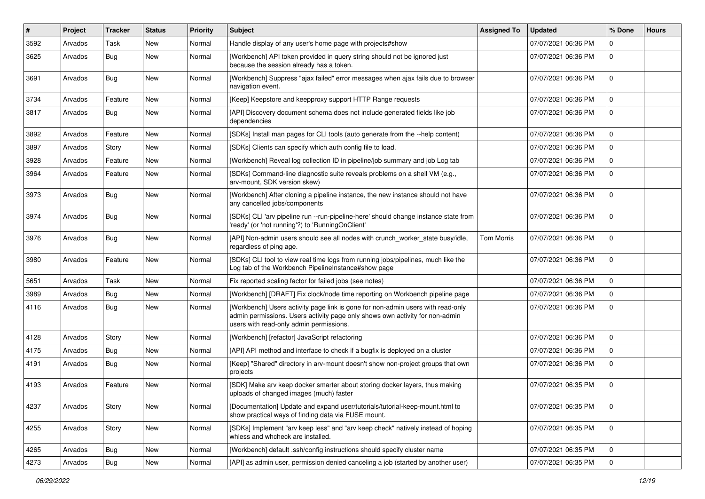| $\vert$ # | Project | <b>Tracker</b> | <b>Status</b> | <b>Priority</b> | <b>Subject</b>                                                                                                                                                                                             | <b>Assigned To</b> | <b>Updated</b>      | % Done      | <b>Hours</b> |
|-----------|---------|----------------|---------------|-----------------|------------------------------------------------------------------------------------------------------------------------------------------------------------------------------------------------------------|--------------------|---------------------|-------------|--------------|
| 3592      | Arvados | Task           | <b>New</b>    | Normal          | Handle display of any user's home page with projects#show                                                                                                                                                  |                    | 07/07/2021 06:36 PM | U           |              |
| 3625      | Arvados | Bug            | <b>New</b>    | Normal          | [Workbench] API token provided in query string should not be ignored just<br>because the session already has a token.                                                                                      |                    | 07/07/2021 06:36 PM | $\Omega$    |              |
| 3691      | Arvados | Bug            | New           | Normal          | [Workbench] Suppress "ajax failed" error messages when ajax fails due to browser<br>navigation event.                                                                                                      |                    | 07/07/2021 06:36 PM | $\Omega$    |              |
| 3734      | Arvados | Feature        | New           | Normal          | [Keep] Keepstore and keepproxy support HTTP Range requests                                                                                                                                                 |                    | 07/07/2021 06:36 PM | U           |              |
| 3817      | Arvados | Bug            | New           | Normal          | [API] Discovery document schema does not include generated fields like job<br>dependencies                                                                                                                 |                    | 07/07/2021 06:36 PM | $\Omega$    |              |
| 3892      | Arvados | Feature        | New           | Normal          | [SDKs] Install man pages for CLI tools (auto generate from the --help content)                                                                                                                             |                    | 07/07/2021 06:36 PM |             |              |
| 3897      | Arvados | Story          | <b>New</b>    | Normal          | [SDKs] Clients can specify which auth config file to load.                                                                                                                                                 |                    | 07/07/2021 06:36 PM | $\Omega$    |              |
| 3928      | Arvados | Feature        | New           | Normal          | [Workbench] Reveal log collection ID in pipeline/job summary and job Log tab                                                                                                                               |                    | 07/07/2021 06:36 PM | $\Omega$    |              |
| 3964      | Arvados | Feature        | New           | Normal          | [SDKs] Command-line diagnostic suite reveals problems on a shell VM (e.g.,<br>arv-mount, SDK version skew)                                                                                                 |                    | 07/07/2021 06:36 PM | $\Omega$    |              |
| 3973      | Arvados | Bug            | New           | Normal          | [Workbench] After cloning a pipeline instance, the new instance should not have<br>any cancelled jobs/components                                                                                           |                    | 07/07/2021 06:36 PM | $\Omega$    |              |
| 3974      | Arvados | <b>Bug</b>     | <b>New</b>    | Normal          | [SDKs] CLI 'arv pipeline run --run-pipeline-here' should change instance state from<br>'ready' (or 'not running'?) to 'RunningOnClient'                                                                    |                    | 07/07/2021 06:36 PM | $\Omega$    |              |
| 3976      | Arvados | <b>Bug</b>     | <b>New</b>    | Normal          | [API] Non-admin users should see all nodes with crunch_worker_state busy/idle,<br>regardless of ping age.                                                                                                  | <b>Tom Morris</b>  | 07/07/2021 06:36 PM |             |              |
| 3980      | Arvados | Feature        | New           | Normal          | [SDKs] CLI tool to view real time logs from running jobs/pipelines, much like the<br>Log tab of the Workbench PipelineInstance#show page                                                                   |                    | 07/07/2021 06:36 PM | $\Omega$    |              |
| 5651      | Arvados | Task           | New           | Normal          | Fix reported scaling factor for failed jobs (see notes)                                                                                                                                                    |                    | 07/07/2021 06:36 PM | $\Omega$    |              |
| 3989      | Arvados | Bug            | New           | Normal          | [Workbench] [DRAFT] Fix clock/node time reporting on Workbench pipeline page                                                                                                                               |                    | 07/07/2021 06:36 PM | $\Omega$    |              |
| 4116      | Arvados | <b>Bug</b>     | New           | Normal          | [Workbench] Users activity page link is gone for non-admin users with read-only<br>admin permissions. Users activity page only shows own activity for non-admin<br>users with read-only admin permissions. |                    | 07/07/2021 06:36 PM | $\Omega$    |              |
| 4128      | Arvados | Story          | New           | Normal          | [Workbench] [refactor] JavaScript refactoring                                                                                                                                                              |                    | 07/07/2021 06:36 PM | $\Omega$    |              |
| 4175      | Arvados | Bug            | New           | Normal          | [API] API method and interface to check if a bugfix is deployed on a cluster                                                                                                                               |                    | 07/07/2021 06:36 PM | 0           |              |
| 4191      | Arvados | Bug            | <b>New</b>    | Normal          | [Keep] "Shared" directory in arv-mount doesn't show non-project groups that own<br>projects                                                                                                                |                    | 07/07/2021 06:36 PM | $\Omega$    |              |
| 4193      | Arvados | Feature        | <b>New</b>    | Normal          | [SDK] Make arv keep docker smarter about storing docker layers, thus making<br>uploads of changed images (much) faster                                                                                     |                    | 07/07/2021 06:35 PM | $\Omega$    |              |
| 4237      | Arvados | Story          | New           | Normal          | [Documentation] Update and expand user/tutorials/tutorial-keep-mount.html to<br>show practical ways of finding data via FUSE mount.                                                                        |                    | 07/07/2021 06:35 PM | $\mathbf 0$ |              |
| 4255      | Arvados | Story          | New           | Normal          | [SDKs] Implement "arv keep less" and "arv keep check" natively instead of hoping<br>whless and whcheck are installed.                                                                                      |                    | 07/07/2021 06:35 PM | $\mathbf 0$ |              |
| 4265      | Arvados | <b>Bug</b>     | New           | Normal          | [Workbench] default .ssh/config instructions should specify cluster name                                                                                                                                   |                    | 07/07/2021 06:35 PM | $\mathbf 0$ |              |
| 4273      | Arvados | Bug            | New           | Normal          | [API] as admin user, permission denied canceling a job (started by another user)                                                                                                                           |                    | 07/07/2021 06:35 PM | $\mathbf 0$ |              |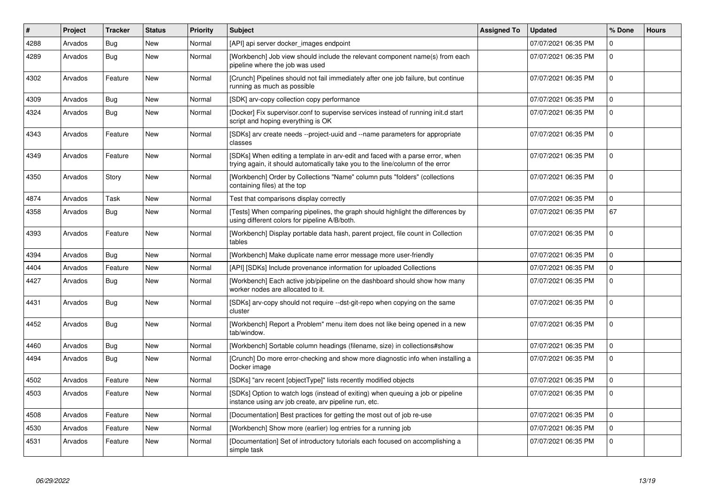| $\vert$ # | Project | <b>Tracker</b> | <b>Status</b> | <b>Priority</b> | <b>Subject</b>                                                                                                                                                  | <b>Assigned To</b> | <b>Updated</b>      | % Done       | <b>Hours</b> |
|-----------|---------|----------------|---------------|-----------------|-----------------------------------------------------------------------------------------------------------------------------------------------------------------|--------------------|---------------------|--------------|--------------|
| 4288      | Arvados | Bug            | <b>New</b>    | Normal          | [API] api server docker images endpoint                                                                                                                         |                    | 07/07/2021 06:35 PM | $\Omega$     |              |
| 4289      | Arvados | Bug            | <b>New</b>    | Normal          | [Workbench] Job view should include the relevant component name(s) from each<br>pipeline where the job was used                                                 |                    | 07/07/2021 06:35 PM | $\Omega$     |              |
| 4302      | Arvados | Feature        | <b>New</b>    | Normal          | [Crunch] Pipelines should not fail immediately after one job failure, but continue<br>running as much as possible                                               |                    | 07/07/2021 06:35 PM | $\Omega$     |              |
| 4309      | Arvados | <b>Bug</b>     | <b>New</b>    | Normal          | [SDK] arv-copy collection copy performance                                                                                                                      |                    | 07/07/2021 06:35 PM | <sup>0</sup> |              |
| 4324      | Arvados | Bug            | New           | Normal          | [Docker] Fix supervisor.conf to supervise services instead of running init.d start<br>script and hoping everything is OK                                        |                    | 07/07/2021 06:35 PM | $\Omega$     |              |
| 4343      | Arvados | Feature        | New           | Normal          | SDKs] arv create needs --project-uuid and --name parameters for appropriate<br>classes                                                                          |                    | 07/07/2021 06:35 PM | <sup>n</sup> |              |
| 4349      | Arvados | Feature        | <b>New</b>    | Normal          | [SDKs] When editing a template in arv-edit and faced with a parse error, when<br>trying again, it should automatically take you to the line/column of the error |                    | 07/07/2021 06:35 PM | $\Omega$     |              |
| 4350      | Arvados | Story          | <b>New</b>    | Normal          | [Workbench] Order by Collections "Name" column puts "folders" (collections<br>containing files) at the top                                                      |                    | 07/07/2021 06:35 PM | $\Omega$     |              |
| 4874      | Arvados | Task           | <b>New</b>    | Normal          | Test that comparisons display correctly                                                                                                                         |                    | 07/07/2021 06:35 PM | $\Omega$     |              |
| 4358      | Arvados | Bug            | <b>New</b>    | Normal          | [Tests] When comparing pipelines, the graph should highlight the differences by<br>using different colors for pipeline A/B/both.                                |                    | 07/07/2021 06:35 PM | 67           |              |
| 4393      | Arvados | Feature        | <b>New</b>    | Normal          | [Workbench] Display portable data hash, parent project, file count in Collection<br>tables                                                                      |                    | 07/07/2021 06:35 PM | $\Omega$     |              |
| 4394      | Arvados | <b>Bug</b>     | <b>New</b>    | Normal          | [Workbench] Make duplicate name error message more user-friendly                                                                                                |                    | 07/07/2021 06:35 PM | $\Omega$     |              |
| 4404      | Arvados | Feature        | <b>New</b>    | Normal          | [API] [SDKs] Include provenance information for uploaded Collections                                                                                            |                    | 07/07/2021 06:35 PM | $\Omega$     |              |
| 4427      | Arvados | <b>Bug</b>     | <b>New</b>    | Normal          | [Workbench] Each active job/pipeline on the dashboard should show how many<br>worker nodes are allocated to it.                                                 |                    | 07/07/2021 06:35 PM | $\Omega$     |              |
| 4431      | Arvados | <b>Bug</b>     | <b>New</b>    | Normal          | [SDKs] arv-copy should not require --dst-git-repo when copying on the same<br>cluster                                                                           |                    | 07/07/2021 06:35 PM | $\Omega$     |              |
| 4452      | Arvados | Bug            | <b>New</b>    | Normal          | [Workbench] Report a Problem" menu item does not like being opened in a new<br>tab/window.                                                                      |                    | 07/07/2021 06:35 PM | $\Omega$     |              |
| 4460      | Arvados | <b>Bug</b>     | <b>New</b>    | Normal          | [Workbench] Sortable column headings (filename, size) in collections#show                                                                                       |                    | 07/07/2021 06:35 PM | $\Omega$     |              |
| 4494      | Arvados | Bug            | <b>New</b>    | Normal          | [Crunch] Do more error-checking and show more diagnostic info when installing a<br>Docker image                                                                 |                    | 07/07/2021 06:35 PM | $\Omega$     |              |
| 4502      | Arvados | Feature        | <b>New</b>    | Normal          | [SDKs] "arv recent [objectType]" lists recently modified objects                                                                                                |                    | 07/07/2021 06:35 PM | $\Omega$     |              |
| 4503      | Arvados | Feature        | <b>New</b>    | Normal          | [SDKs] Option to watch logs (instead of exiting) when queuing a job or pipeline<br>instance using arv job create, arv pipeline run, etc.                        |                    | 07/07/2021 06:35 PM | $\Omega$     |              |
| 4508      | Arvados | Feature        | New           | Normal          | [Documentation] Best practices for getting the most out of job re-use                                                                                           |                    | 07/07/2021 06:35 PM | $\Omega$     |              |
| 4530      | Arvados | Feature        | <b>New</b>    | Normal          | [Workbench] Show more (earlier) log entries for a running job                                                                                                   |                    | 07/07/2021 06:35 PM | $\Omega$     |              |
| 4531      | Arvados | Feature        | <b>New</b>    | Normal          | [Documentation] Set of introductory tutorials each focused on accomplishing a<br>simple task                                                                    |                    | 07/07/2021 06:35 PM | <sup>n</sup> |              |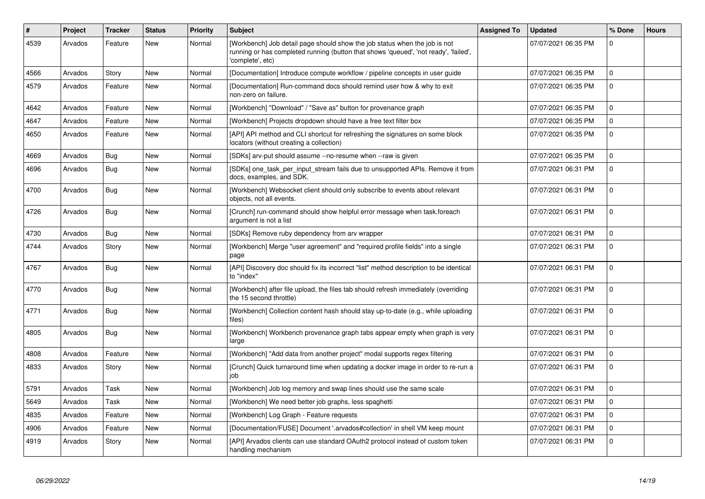| $\#$ | Project | <b>Tracker</b> | <b>Status</b> | <b>Priority</b> | <b>Subject</b>                                                                                                                                                                         | <b>Assigned To</b> | <b>Updated</b>      | % Done   | <b>Hours</b> |
|------|---------|----------------|---------------|-----------------|----------------------------------------------------------------------------------------------------------------------------------------------------------------------------------------|--------------------|---------------------|----------|--------------|
| 4539 | Arvados | Feature        | New           | Normal          | [Workbench] Job detail page should show the job status when the job is not<br>running or has completed running (button that shows 'queued', 'not ready', 'failed',<br>'complete', etc) |                    | 07/07/2021 06:35 PM | $\Omega$ |              |
| 4566 | Arvados | Story          | <b>New</b>    | Normal          | [Documentation] Introduce compute workflow / pipeline concepts in user guide                                                                                                           |                    | 07/07/2021 06:35 PM | $\Omega$ |              |
| 4579 | Arvados | Feature        | New           | Normal          | [Documentation] Run-command docs should remind user how & why to exit<br>non-zero on failure.                                                                                          |                    | 07/07/2021 06:35 PM | $\Omega$ |              |
| 4642 | Arvados | Feature        | <b>New</b>    | Normal          | [Workbench] "Download" / "Save as" button for provenance graph                                                                                                                         |                    | 07/07/2021 06:35 PM | $\Omega$ |              |
| 4647 | Arvados | Feature        | New           | Normal          | [Workbench] Projects dropdown should have a free text filter box                                                                                                                       |                    | 07/07/2021 06:35 PM | $\Omega$ |              |
| 4650 | Arvados | Feature        | New           | Normal          | [API] API method and CLI shortcut for refreshing the signatures on some block<br>locators (without creating a collection)                                                              |                    | 07/07/2021 06:35 PM | $\Omega$ |              |
| 4669 | Arvados | <b>Bug</b>     | <b>New</b>    | Normal          | [SDKs] arv-put should assume --no-resume when --raw is given                                                                                                                           |                    | 07/07/2021 06:35 PM | $\Omega$ |              |
| 4696 | Arvados | Bug            | New           | Normal          | [SDKs] one task per input stream fails due to unsupported APIs. Remove it from<br>docs, examples, and SDK.                                                                             |                    | 07/07/2021 06:31 PM | $\Omega$ |              |
| 4700 | Arvados | Bug            | <b>New</b>    | Normal          | [Workbench] Websocket client should only subscribe to events about relevant<br>objects, not all events.                                                                                |                    | 07/07/2021 06:31 PM | $\Omega$ |              |
| 4726 | Arvados | Bug            | <b>New</b>    | Normal          | [Crunch] run-command should show helpful error message when task.foreach<br>argument is not a list                                                                                     |                    | 07/07/2021 06:31 PM | $\Omega$ |              |
| 4730 | Arvados | Bug            | <b>New</b>    | Normal          | [SDKs] Remove ruby dependency from arv wrapper                                                                                                                                         |                    | 07/07/2021 06:31 PM | $\Omega$ |              |
| 4744 | Arvados | Story          | New           | Normal          | [Workbench] Merge "user agreement" and "required profile fields" into a single<br>page                                                                                                 |                    | 07/07/2021 06:31 PM | $\Omega$ |              |
| 4767 | Arvados | Bug            | <b>New</b>    | Normal          | [API] Discovery doc should fix its incorrect "list" method description to be identical<br>to "index"                                                                                   |                    | 07/07/2021 06:31 PM | $\Omega$ |              |
| 4770 | Arvados | <b>Bug</b>     | New           | Normal          | [Workbench] after file upload, the files tab should refresh immediately (overriding<br>the 15 second throttle)                                                                         |                    | 07/07/2021 06:31 PM | $\Omega$ |              |
| 4771 | Arvados | <b>Bug</b>     | New           | Normal          | [Workbench] Collection content hash should stay up-to-date (e.g., while uploading<br>files)                                                                                            |                    | 07/07/2021 06:31 PM | $\Omega$ |              |
| 4805 | Arvados | Bug            | New           | Normal          | [Workbench] Workbench provenance graph tabs appear empty when graph is very<br>large                                                                                                   |                    | 07/07/2021 06:31 PM | $\Omega$ |              |
| 4808 | Arvados | Feature        | New           | Normal          | [Workbench] "Add data from another project" modal supports regex filtering                                                                                                             |                    | 07/07/2021 06:31 PM | $\Omega$ |              |
| 4833 | Arvados | Story          | New           | Normal          | [Crunch] Quick turnaround time when updating a docker image in order to re-run a<br>iob                                                                                                |                    | 07/07/2021 06:31 PM | $\Omega$ |              |
| 5791 | Arvados | Task           | New           | Normal          | [Workbench] Job log memory and swap lines should use the same scale                                                                                                                    |                    | 07/07/2021 06:31 PM | $\Omega$ |              |
| 5649 | Arvados | Task           | New           | Normal          | [Workbench] We need better job graphs, less spaghetti                                                                                                                                  |                    | 07/07/2021 06:31 PM | $\Omega$ |              |
| 4835 | Arvados | Feature        | <b>New</b>    | Normal          | [Workbench] Log Graph - Feature requests                                                                                                                                               |                    | 07/07/2021 06:31 PM | $\Omega$ |              |
| 4906 | Arvados | Feature        | New           | Normal          | [Documentation/FUSE] Document '.arvados#collection' in shell VM keep mount                                                                                                             |                    | 07/07/2021 06:31 PM | $\Omega$ |              |
| 4919 | Arvados | Story          | New           | Normal          | [API] Arvados clients can use standard OAuth2 protocol instead of custom token<br>handling mechanism                                                                                   |                    | 07/07/2021 06:31 PM | $\Omega$ |              |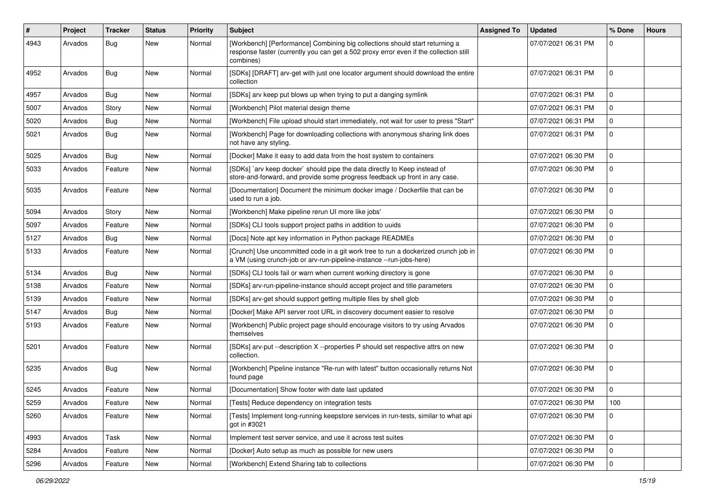| #    | <b>Project</b> | <b>Tracker</b> | <b>Status</b> | <b>Priority</b> | Subject                                                                                                                                                                            | <b>Assigned To</b> | <b>Updated</b>      | % Done      | <b>Hours</b> |
|------|----------------|----------------|---------------|-----------------|------------------------------------------------------------------------------------------------------------------------------------------------------------------------------------|--------------------|---------------------|-------------|--------------|
| 4943 | Arvados        | Bug            | New           | Normal          | [Workbench] [Performance] Combining big collections should start returning a<br>response faster (currently you can get a 502 proxy error even if the collection still<br>combines) |                    | 07/07/2021 06:31 PM | U           |              |
| 4952 | Arvados        | <b>Bug</b>     | <b>New</b>    | Normal          | [SDKs] [DRAFT] arv-get with just one locator argument should download the entire<br>collection                                                                                     |                    | 07/07/2021 06:31 PM | $\Omega$    |              |
| 4957 | Arvados        | Bug            | New           | Normal          | [SDKs] arv keep put blows up when trying to put a danging symlink                                                                                                                  |                    | 07/07/2021 06:31 PM | 0           |              |
| 5007 | Arvados        | Story          | New           | Normal          | [Workbench] Pilot material design theme                                                                                                                                            |                    | 07/07/2021 06:31 PM | $\Omega$    |              |
| 5020 | Arvados        | Bug            | New           | Normal          | [Workbench] File upload should start immediately, not wait for user to press "Start"                                                                                               |                    | 07/07/2021 06:31 PM | $\Omega$    |              |
| 5021 | Arvados        | Bug            | New           | Normal          | [Workbench] Page for downloading collections with anonymous sharing link does<br>not have any styling.                                                                             |                    | 07/07/2021 06:31 PM | 0           |              |
| 5025 | Arvados        | Bug            | New           | Normal          | [Docker] Make it easy to add data from the host system to containers                                                                                                               |                    | 07/07/2021 06:30 PM | $\Omega$    |              |
| 5033 | Arvados        | Feature        | New           | Normal          | [SDKs] `arv keep docker` should pipe the data directly to Keep instead of<br>store-and-forward, and provide some progress feedback up front in any case.                           |                    | 07/07/2021 06:30 PM | $\Omega$    |              |
| 5035 | Arvados        | Feature        | New           | Normal          | [Documentation] Document the minimum docker image / Dockerfile that can be<br>used to run a job.                                                                                   |                    | 07/07/2021 06:30 PM | $\Omega$    |              |
| 5094 | Arvados        | Story          | <b>New</b>    | Normal          | [Workbench] Make pipeline rerun UI more like jobs'                                                                                                                                 |                    | 07/07/2021 06:30 PM | 0           |              |
| 5097 | Arvados        | Feature        | New           | Normal          | [SDKs] CLI tools support project paths in addition to uuids                                                                                                                        |                    | 07/07/2021 06:30 PM | 0           |              |
| 5127 | Arvados        | Bug            | New           | Normal          | [Docs] Note apt key information in Python package READMEs                                                                                                                          |                    | 07/07/2021 06:30 PM | $\Omega$    |              |
| 5133 | Arvados        | Feature        | New           | Normal          | [Crunch] Use uncommitted code in a git work tree to run a dockerized crunch job in<br>a VM (using crunch-job or arv-run-pipeline-instance --run-jobs-here)                         |                    | 07/07/2021 06:30 PM | $\Omega$    |              |
| 5134 | Arvados        | Bug            | New           | Normal          | [SDKs] CLI tools fail or warn when current working directory is gone                                                                                                               |                    | 07/07/2021 06:30 PM | $\Omega$    |              |
| 5138 | Arvados        | Feature        | New           | Normal          | [SDKs] arv-run-pipeline-instance should accept project and title parameters                                                                                                        |                    | 07/07/2021 06:30 PM | $\Omega$    |              |
| 5139 | Arvados        | Feature        | New           | Normal          | [SDKs] arv-get should support getting multiple files by shell glob                                                                                                                 |                    | 07/07/2021 06:30 PM | $\Omega$    |              |
| 5147 | Arvados        | Bug            | New           | Normal          | [Docker] Make API server root URL in discovery document easier to resolve                                                                                                          |                    | 07/07/2021 06:30 PM | $\Omega$    |              |
| 5193 | Arvados        | Feature        | New           | Normal          | [Workbench] Public project page should encourage visitors to try using Arvados<br>themselves                                                                                       |                    | 07/07/2021 06:30 PM | 0           |              |
| 5201 | Arvados        | Feature        | New           | Normal          | [SDKs] arv-put --description X --properties P should set respective attrs on new<br>collection.                                                                                    |                    | 07/07/2021 06:30 PM | $\Omega$    |              |
| 5235 | Arvados        | Bug            | New           | Normal          | [Workbench] Pipeline instance "Re-run with latest" button occasionally returns Not<br>found page                                                                                   |                    | 07/07/2021 06:30 PM | $\Omega$    |              |
| 5245 | Arvados        | Feature        | New           | Normal          | [Documentation] Show footer with date last updated                                                                                                                                 |                    | 07/07/2021 06:30 PM | $\Omega$    |              |
| 5259 | Arvados        | Feature        | New           | Normal          | [Tests] Reduce dependency on integration tests                                                                                                                                     |                    | 07/07/2021 06:30 PM | 100         |              |
| 5260 | Arvados        | Feature        | New           | Normal          | [Tests] Implement long-running keepstore services in run-tests, similar to what api<br>got in #3021                                                                                |                    | 07/07/2021 06:30 PM | 0           |              |
| 4993 | Arvados        | Task           | New           | Normal          | Implement test server service, and use it across test suites                                                                                                                       |                    | 07/07/2021 06:30 PM | $\mathbf 0$ |              |
| 5284 | Arvados        | Feature        | New           | Normal          | [Docker] Auto setup as much as possible for new users                                                                                                                              |                    | 07/07/2021 06:30 PM | 0           |              |
| 5296 | Arvados        | Feature        | New           | Normal          | [Workbench] Extend Sharing tab to collections                                                                                                                                      |                    | 07/07/2021 06:30 PM | $\Omega$    |              |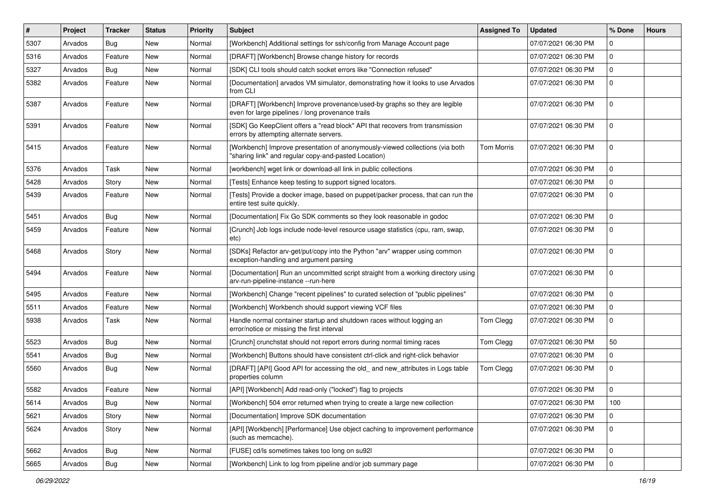| $\vert$ # | Project | <b>Tracker</b> | <b>Status</b> | <b>Priority</b> | <b>Subject</b>                                                                                                                       | <b>Assigned To</b> | <b>Updated</b>      | % Done      | <b>Hours</b> |
|-----------|---------|----------------|---------------|-----------------|--------------------------------------------------------------------------------------------------------------------------------------|--------------------|---------------------|-------------|--------------|
| 5307      | Arvados | Bug            | New           | Normal          | [Workbench] Additional settings for ssh/config from Manage Account page                                                              |                    | 07/07/2021 06:30 PM | $\Omega$    |              |
| 5316      | Arvados | Feature        | <b>New</b>    | Normal          | [DRAFT] [Workbench] Browse change history for records                                                                                |                    | 07/07/2021 06:30 PM | $\mathbf 0$ |              |
| 5327      | Arvados | Bug            | <b>New</b>    | Normal          | [SDK] CLI tools should catch socket errors like "Connection refused"                                                                 |                    | 07/07/2021 06:30 PM | $\mathbf 0$ |              |
| 5382      | Arvados | Feature        | <b>New</b>    | Normal          | [Documentation] arvados VM simulator, demonstrating how it looks to use Arvados<br>from CLI                                          |                    | 07/07/2021 06:30 PM | $\mathbf 0$ |              |
| 5387      | Arvados | Feature        | New           | Normal          | [DRAFT] [Workbench] Improve provenance/used-by graphs so they are legible<br>even for large pipelines / long provenance trails       |                    | 07/07/2021 06:30 PM | $\mathbf 0$ |              |
| 5391      | Arvados | Feature        | <b>New</b>    | Normal          | [SDK] Go KeepClient offers a "read block" API that recovers from transmission<br>errors by attempting alternate servers.             |                    | 07/07/2021 06:30 PM | $\mathbf 0$ |              |
| 5415      | Arvados | Feature        | <b>New</b>    | Normal          | [Workbench] Improve presentation of anonymously-viewed collections (via both<br>"sharing link" and regular copy-and-pasted Location) | <b>Tom Morris</b>  | 07/07/2021 06:30 PM | $\mathbf 0$ |              |
| 5376      | Arvados | Task           | <b>New</b>    | Normal          | [workbench] wget link or download-all link in public collections                                                                     |                    | 07/07/2021 06:30 PM | $\Omega$    |              |
| 5428      | Arvados | Story          | <b>New</b>    | Normal          | [Tests] Enhance keep testing to support signed locators.                                                                             |                    | 07/07/2021 06:30 PM | $\mathbf 0$ |              |
| 5439      | Arvados | Feature        | <b>New</b>    | Normal          | [Tests] Provide a docker image, based on puppet/packer process, that can run the<br>entire test suite quickly.                       |                    | 07/07/2021 06:30 PM | $\mathbf 0$ |              |
| 5451      | Arvados | Bug            | <b>New</b>    | Normal          | [Documentation] Fix Go SDK comments so they look reasonable in godoc                                                                 |                    | 07/07/2021 06:30 PM | $\mathbf 0$ |              |
| 5459      | Arvados | Feature        | New           | Normal          | [Crunch] Job logs include node-level resource usage statistics (cpu, ram, swap,<br>etc)                                              |                    | 07/07/2021 06:30 PM | $\Omega$    |              |
| 5468      | Arvados | Story          | New           | Normal          | [SDKs] Refactor arv-get/put/copy into the Python "arv" wrapper using common<br>exception-handling and argument parsing               |                    | 07/07/2021 06:30 PM | $\mathbf 0$ |              |
| 5494      | Arvados | Feature        | <b>New</b>    | Normal          | [Documentation] Run an uncommitted script straight from a working directory using<br>arv-run-pipeline-instance --run-here            |                    | 07/07/2021 06:30 PM | $\mathbf 0$ |              |
| 5495      | Arvados | Feature        | <b>New</b>    | Normal          | [Workbench] Change "recent pipelines" to curated selection of "public pipelines"                                                     |                    | 07/07/2021 06:30 PM | $\mathbf 0$ |              |
| 5511      | Arvados | Feature        | <b>New</b>    | Normal          | [Workbench] Workbench should support viewing VCF files                                                                               |                    | 07/07/2021 06:30 PM | $\mathbf 0$ |              |
| 5938      | Arvados | Task           | New           | Normal          | Handle normal container startup and shutdown races without logging an<br>error/notice or missing the first interval                  | Tom Clegg          | 07/07/2021 06:30 PM | $\mathbf 0$ |              |
| 5523      | Arvados | Bug            | <b>New</b>    | Normal          | [Crunch] crunchstat should not report errors during normal timing races                                                              | Tom Clegg          | 07/07/2021 06:30 PM | 50          |              |
| 5541      | Arvados | Bug            | <b>New</b>    | Normal          | [Workbench] Buttons should have consistent ctrl-click and right-click behavior                                                       |                    | 07/07/2021 06:30 PM | $\Omega$    |              |
| 5560      | Arvados | Bug            | <b>New</b>    | Normal          | [DRAFT] [API] Good API for accessing the old_ and new_attributes in Logs table<br>properties column                                  | Tom Clegg          | 07/07/2021 06:30 PM | $\mathbf 0$ |              |
| 5582      | Arvados | Feature        | <b>New</b>    | Normal          | [API] [Workbench] Add read-only ("locked") flag to projects                                                                          |                    | 07/07/2021 06:30 PM | $\mathbf 0$ |              |
| 5614      | Arvados | Bug            | <b>New</b>    | Normal          | [Workbench] 504 error returned when trying to create a large new collection                                                          |                    | 07/07/2021 06:30 PM | 100         |              |
| 5621      | Arvados | Story          | New           | Normal          | [Documentation] Improve SDK documentation                                                                                            |                    | 07/07/2021 06:30 PM | 0           |              |
| 5624      | Arvados | Story          | New           | Normal          | [API] [Workbench] [Performance] Use object caching to improvement performance<br>(such as memcache).                                 |                    | 07/07/2021 06:30 PM | $\mathbf 0$ |              |
| 5662      | Arvados | Bug            | New           | Normal          | [FUSE] cd/ls sometimes takes too long on su92l                                                                                       |                    | 07/07/2021 06:30 PM | $\mathbf 0$ |              |
| 5665      | Arvados | <b>Bug</b>     | New           | Normal          | [Workbench] Link to log from pipeline and/or job summary page                                                                        |                    | 07/07/2021 06:30 PM | $\mathsf 0$ |              |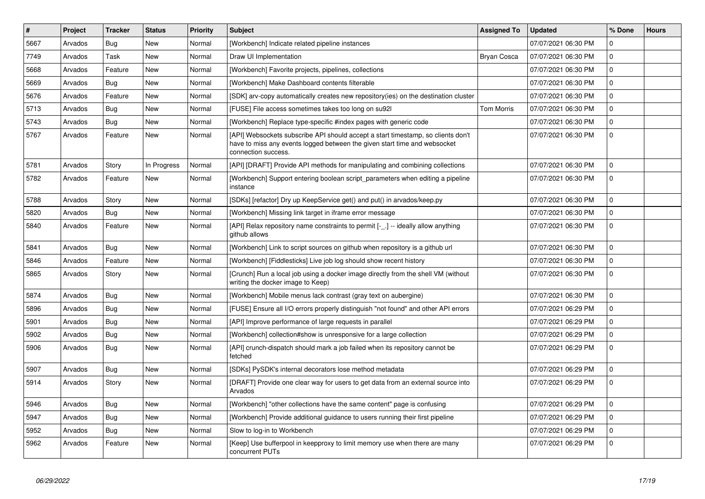| $\vert$ # | Project | <b>Tracker</b> | <b>Status</b> | <b>Priority</b> | <b>Subject</b>                                                                                                                                                                       | <b>Assigned To</b> | <b>Updated</b>      | % Done       | <b>Hours</b> |
|-----------|---------|----------------|---------------|-----------------|--------------------------------------------------------------------------------------------------------------------------------------------------------------------------------------|--------------------|---------------------|--------------|--------------|
| 5667      | Arvados | <b>Bug</b>     | <b>New</b>    | Normal          | [Workbench] Indicate related pipeline instances                                                                                                                                      |                    | 07/07/2021 06:30 PM | $\Omega$     |              |
| 7749      | Arvados | Task           | <b>New</b>    | Normal          | Draw UI Implementation                                                                                                                                                               | <b>Bryan Cosca</b> | 07/07/2021 06:30 PM | $\mathbf 0$  |              |
| 5668      | Arvados | Feature        | New           | Normal          | [Workbench] Favorite projects, pipelines, collections                                                                                                                                |                    | 07/07/2021 06:30 PM | $\Omega$     |              |
| 5669      | Arvados | Bug            | New           | Normal          | [Workbench] Make Dashboard contents filterable                                                                                                                                       |                    | 07/07/2021 06:30 PM | $\mathbf 0$  |              |
| 5676      | Arvados | Feature        | <b>New</b>    | Normal          | [SDK] arv-copy automatically creates new repository(ies) on the destination cluster                                                                                                  |                    | 07/07/2021 06:30 PM | $\mathbf{0}$ |              |
| 5713      | Arvados | Bug            | <b>New</b>    | Normal          | [FUSE] File access sometimes takes too long on su92l                                                                                                                                 | <b>Tom Morris</b>  | 07/07/2021 06:30 PM | $\mathbf 0$  |              |
| 5743      | Arvados | Bug            | New           | Normal          | [Workbench] Replace type-specific #index pages with generic code                                                                                                                     |                    | 07/07/2021 06:30 PM | $\Omega$     |              |
| 5767      | Arvados | Feature        | <b>New</b>    | Normal          | [API] Websockets subscribe API should accept a start timestamp, so clients don't<br>have to miss any events logged between the given start time and websocket<br>connection success. |                    | 07/07/2021 06:30 PM | $\mathbf 0$  |              |
| 5781      | Arvados | Story          | In Progress   | Normal          | [API] [DRAFT] Provide API methods for manipulating and combining collections                                                                                                         |                    | 07/07/2021 06:30 PM | $\mathbf{0}$ |              |
| 5782      | Arvados | Feature        | New           | Normal          | [Workbench] Support entering boolean script_parameters when editing a pipeline<br>instance                                                                                           |                    | 07/07/2021 06:30 PM | $\mathbf 0$  |              |
| 5788      | Arvados | Story          | New           | Normal          | [SDKs] [refactor] Dry up KeepService get() and put() in arvados/keep.py                                                                                                              |                    | 07/07/2021 06:30 PM | $\mathbf 0$  |              |
| 5820      | Arvados | <b>Bug</b>     | New           | Normal          | [Workbench] Missing link target in iframe error message                                                                                                                              |                    | 07/07/2021 06:30 PM | $\mathbf 0$  |              |
| 5840      | Arvados | Feature        | New           | Normal          | [API] Relax repository name constraints to permit [- .] -- ideally allow anything<br>github allows                                                                                   |                    | 07/07/2021 06:30 PM | $\mathbf 0$  |              |
| 5841      | Arvados | Bug            | <b>New</b>    | Normal          | [Workbench] Link to script sources on github when repository is a github url                                                                                                         |                    | 07/07/2021 06:30 PM | $\mathbf 0$  |              |
| 5846      | Arvados | Feature        | New           | Normal          | [Workbench] [Fiddlesticks] Live job log should show recent history                                                                                                                   |                    | 07/07/2021 06:30 PM | $\mathsf 0$  |              |
| 5865      | Arvados | Story          | New           | Normal          | [Crunch] Run a local job using a docker image directly from the shell VM (without<br>writing the docker image to Keep)                                                               |                    | 07/07/2021 06:30 PM | $\mathbf 0$  |              |
| 5874      | Arvados | Bug            | <b>New</b>    | Normal          | [Workbench] Mobile menus lack contrast (gray text on aubergine)                                                                                                                      |                    | 07/07/2021 06:30 PM | $\mathsf 0$  |              |
| 5896      | Arvados | Bug            | New           | Normal          | [FUSE] Ensure all I/O errors properly distinguish "not found" and other API errors                                                                                                   |                    | 07/07/2021 06:29 PM | $\mathbf 0$  |              |
| 5901      | Arvados | Bug            | New           | Normal          | [API] Improve performance of large requests in parallel                                                                                                                              |                    | 07/07/2021 06:29 PM | $\Omega$     |              |
| 5902      | Arvados | Bug            | <b>New</b>    | Normal          | [Workbench] collection#show is unresponsive for a large collection                                                                                                                   |                    | 07/07/2021 06:29 PM | $\mathbf 0$  |              |
| 5906      | Arvados | Bug            | New           | Normal          | [API] crunch-dispatch should mark a job failed when its repository cannot be<br>fetched                                                                                              |                    | 07/07/2021 06:29 PM | $\mathbf 0$  |              |
| 5907      | Arvados | Bug            | <b>New</b>    | Normal          | [SDKs] PySDK's internal decorators lose method metadata                                                                                                                              |                    | 07/07/2021 06:29 PM | $\mathbf 0$  |              |
| 5914      | Arvados | Story          | New           | Normal          | [DRAFT] Provide one clear way for users to get data from an external source into<br>Arvados                                                                                          |                    | 07/07/2021 06:29 PM | $\mathbf 0$  |              |
| 5946      | Arvados | Bug            | <b>New</b>    | Normal          | [Workbench] "other collections have the same content" page is confusing                                                                                                              |                    | 07/07/2021 06:29 PM | $\mathbf{0}$ |              |
| 5947      | Arvados | <b>Bug</b>     | New           | Normal          | [Workbench] Provide additional guidance to users running their first pipeline                                                                                                        |                    | 07/07/2021 06:29 PM | $\mathbf 0$  |              |
| 5952      | Arvados | Bug            | <b>New</b>    | Normal          | Slow to log-in to Workbench                                                                                                                                                          |                    | 07/07/2021 06:29 PM | $\Omega$     |              |
| 5962      | Arvados | Feature        | <b>New</b>    | Normal          | [Keep] Use bufferpool in keepproxy to limit memory use when there are many<br>concurrent PUTs                                                                                        |                    | 07/07/2021 06:29 PM | $\mathbf 0$  |              |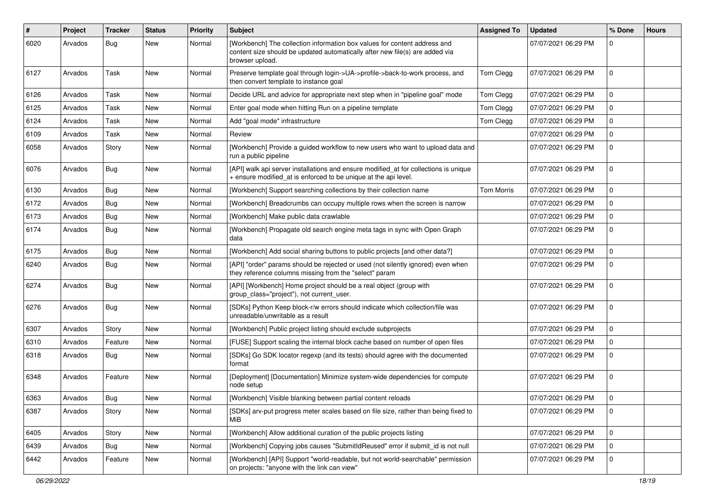| #    | Project | <b>Tracker</b> | <b>Status</b> | <b>Priority</b> | <b>Subject</b>                                                                                                                                                               | <b>Assigned To</b> | <b>Updated</b>      | % Done      | <b>Hours</b> |
|------|---------|----------------|---------------|-----------------|------------------------------------------------------------------------------------------------------------------------------------------------------------------------------|--------------------|---------------------|-------------|--------------|
| 6020 | Arvados | Bug            | New           | Normal          | [Workbench] The collection information box values for content address and<br>content size should be updated automatically after new file(s) are added via<br>browser upload. |                    | 07/07/2021 06:29 PM |             |              |
| 6127 | Arvados | Task           | <b>New</b>    | Normal          | Preserve template goal through login->UA->profile->back-to-work process, and<br>then convert template to instance goal                                                       | Tom Clegg          | 07/07/2021 06:29 PM | $\Omega$    |              |
| 6126 | Arvados | Task           | New           | Normal          | Decide URL and advice for appropriate next step when in "pipeline goal" mode                                                                                                 | Tom Clegg          | 07/07/2021 06:29 PM | 0           |              |
| 6125 | Arvados | Task           | New           | Normal          | Enter goal mode when hitting Run on a pipeline template                                                                                                                      | Tom Clegg          | 07/07/2021 06:29 PM | $\Omega$    |              |
| 6124 | Arvados | Task           | <b>New</b>    | Normal          | Add "goal mode" infrastructure                                                                                                                                               | Tom Clegg          | 07/07/2021 06:29 PM | $\Omega$    |              |
| 6109 | Arvados | Task           | New           | Normal          | Review                                                                                                                                                                       |                    | 07/07/2021 06:29 PM |             |              |
| 6058 | Arvados | Story          | <b>New</b>    | Normal          | [Workbench] Provide a guided workflow to new users who want to upload data and<br>run a public pipeline                                                                      |                    | 07/07/2021 06:29 PM |             |              |
| 6076 | Arvados | Bug            | <b>New</b>    | Normal          | [API] walk api server installations and ensure modified_at for collections is unique<br>+ ensure modified_at is enforced to be unique at the api level.                      |                    | 07/07/2021 06:29 PM | $\Omega$    |              |
| 6130 | Arvados | Bug            | New           | Normal          | [Workbench] Support searching collections by their collection name                                                                                                           | Tom Morris         | 07/07/2021 06:29 PM | $\Omega$    |              |
| 6172 | Arvados | Bug            | New           | Normal          | [Workbench] Breadcrumbs can occupy multiple rows when the screen is narrow                                                                                                   |                    | 07/07/2021 06:29 PM | $\Omega$    |              |
| 6173 | Arvados | Bug            | <b>New</b>    | Normal          | [Workbench] Make public data crawlable                                                                                                                                       |                    | 07/07/2021 06:29 PM | $\Omega$    |              |
| 6174 | Arvados | Bug            | New           | Normal          | [Workbench] Propagate old search engine meta tags in sync with Open Graph<br>data                                                                                            |                    | 07/07/2021 06:29 PM |             |              |
| 6175 | Arvados | Bug            | New           | Normal          | [Workbench] Add social sharing buttons to public projects [and other data?]                                                                                                  |                    | 07/07/2021 06:29 PM | $\Omega$    |              |
| 6240 | Arvados | Bug            | <b>New</b>    | Normal          | [API] "order" params should be rejected or used (not silently ignored) even when<br>they reference columns missing from the "select" param                                   |                    | 07/07/2021 06:29 PM | $\Omega$    |              |
| 6274 | Arvados | Bug            | New           | Normal          | [API] [Workbench] Home project should be a real object (group with<br>group_class="project"), not current_user.                                                              |                    | 07/07/2021 06:29 PM | $\Omega$    |              |
| 6276 | Arvados | <b>Bug</b>     | <b>New</b>    | Normal          | [SDKs] Python Keep block-r/w errors should indicate which collection/file was<br>unreadable/unwritable as a result                                                           |                    | 07/07/2021 06:29 PM | $\Omega$    |              |
| 6307 | Arvados | Story          | <b>New</b>    | Normal          | [Workbench] Public project listing should exclude subprojects                                                                                                                |                    | 07/07/2021 06:29 PM | $\Omega$    |              |
| 6310 | Arvados | Feature        | New           | Normal          | [FUSE] Support scaling the internal block cache based on number of open files                                                                                                |                    | 07/07/2021 06:29 PM | $\Omega$    |              |
| 6318 | Arvados | <b>Bug</b>     | New           | Normal          | [SDKs] Go SDK locator regexp (and its tests) should agree with the documented<br>format                                                                                      |                    | 07/07/2021 06:29 PM |             |              |
| 6348 | Arvados | Feature        | New           | Normal          | [Deployment] [Documentation] Minimize system-wide dependencies for compute<br>node setup                                                                                     |                    | 07/07/2021 06:29 PM | $\Omega$    |              |
| 6363 | Arvados | <b>Bug</b>     | New           | Normal          | [Workbench] Visible blanking between partial content reloads                                                                                                                 |                    | 07/07/2021 06:29 PM | $\mathbf 0$ |              |
| 6387 | Arvados | Story          | New           | Normal          | [SDKs] arv-put progress meter scales based on file size, rather than being fixed to<br>MiB                                                                                   |                    | 07/07/2021 06:29 PM | $\Omega$    |              |
| 6405 | Arvados | Story          | New           | Normal          | [Workbench] Allow additional curation of the public projects listing                                                                                                         |                    | 07/07/2021 06:29 PM | $\Omega$    |              |
| 6439 | Arvados | <b>Bug</b>     | New           | Normal          | [Workbench] Copying jobs causes "SubmitIdReused" error if submit_id is not null                                                                                              |                    | 07/07/2021 06:29 PM |             |              |
| 6442 | Arvados | Feature        | New           | Normal          | [Workbench] [API] Support "world-readable, but not world-searchable" permission<br>on projects: "anyone with the link can view"                                              |                    | 07/07/2021 06:29 PM | $\Omega$    |              |